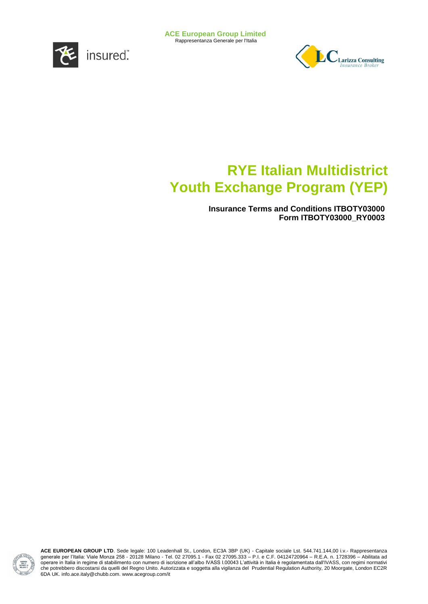

Rappresentanza Generale per l'Italia



# **RYE Italian Multidistrict Youth Exchange Program (YEP)**

**Insurance Terms and Conditions ITBOTY03000 Form ITBOTY03000\_RY0003**

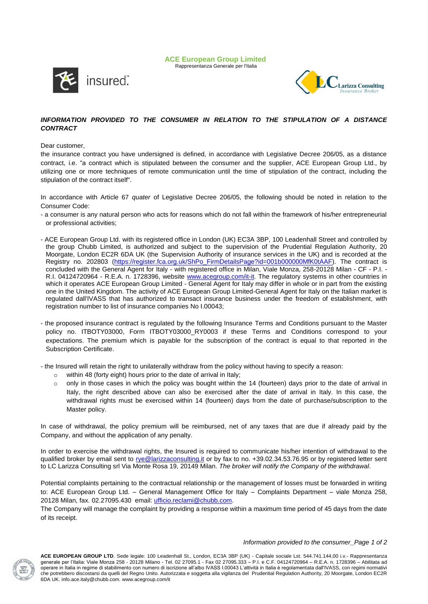**ACE European Group Limited** Rappresentanza Generale per l'Italia





## *INFORMATION PROVIDED TO THE CONSUMER IN RELATION TO THE STIPULATION OF A DISTANCE CONTRACT*

## Dear customer,

the insurance contract you have undersigned is defined, in accordance with Legislative Decree 206/05, as a distance contract, i.e. "a contract which is stipulated between the consumer and the supplier, ACE European Group Ltd., by utilizing one or more techniques of remote communication until the time of stipulation of the contract, including the stipulation of the contract itself".

In accordance with Article 67 *quater* of Legislative Decree 206/05, the following should be noted in relation to the Consumer Code:

- a consumer is any natural person who acts for reasons which do not fall within the framework of his/her entrepreneurial or professional activities;
- ACE European Group Ltd. with its registered office in London (UK) EC3A 3BP, 100 Leadenhall Street and controlled by the group Chubb Limited, is authorized and subject to the supervision of the Prudential Regulation Authority, 20 Moorgate, London EC2R 6DA UK (the Supervision Authority of insurance services in the UK) and is recorded at the Registry no. 202803 (https://register.fca.org.uk/ShPo\_FirmDetailsPage?id=001b0000000MfK0tAAF). The contract is concluded with the General Agent for Italy - with registered office in Milan, Viale Monza, 258-20128 Milan - CF - P.I. R.I. 04124720964 - R.E.A. n. 1728396, website [www.acegroup.com/it-it.](http://www.acegroup.com/it-it) The regulatory systems in other countries in which it operates ACE European Group Limited - General Agent for Italy may differ in whole or in part from the existing one in the United Kingdom. The activity of ACE European Group Limited-General Agent for Italy on the Italian market is regulated dall'IVASS that has authorized to transact insurance business under the freedom of establishment, with registration number to list of insurance companies No I.00043;
- the proposed insurance contract is regulated by the following Insurance Terms and Conditions pursuant to the Master policy no. ITBOTY03000, Form ITBOTY03000\_RY0003 if these Terms and Conditions correspond to your expectations. The premium which is payable for the subscription of the contract is equal to that reported in the Subscription Certificate.

- the Insured will retain the right to unilaterally withdraw from the policy without having to specify a reason:

- o within 48 (forty eight) hours prior to the date of arrival in Italy;
- $\circ$  only in those cases in which the policy was bought within the 14 (fourteen) days prior to the date of arrival in Italy, the right described above can also be exercised after the date of arrival in Italy. In this case, the withdrawal rights must be exercised within 14 (fourteen) days from the date of purchase/subscription to the Master policy.

In case of withdrawal, the policy premium will be reimbursed, net of any taxes that are due if already paid by the Company, and without the application of any penalty.

In order to exercise the withdrawal rights, the Insured is required to communicate his/her intention of withdrawal to the qualified broker by email sent to [rye@larizzaconsulting.it](mailto:rye@larizzaconsulting.it) or by fax to no. +39.02.34.53.76.95 or by registered letter sent to LC Larizza Consulting srl Via Monte Rosa 19, 20149 Milan. *The broker will notify the Company of the withdrawal*.

Potential complaints pertaining to the contractual relationship or the management of losses must be forwarded in writing to: ACE European Group Ltd. – General Management Office for Italy – Complaints Department – viale Monza 258, 20128 Milan, fax. 02.27095.430 email: *ufficio.reclami@chubb.com.* 

The Company will manage the complaint by providing a response within a maximum time period of 45 days from the date of its receipt.

#### *Information provided to the consumer\_Page 1 of 2*

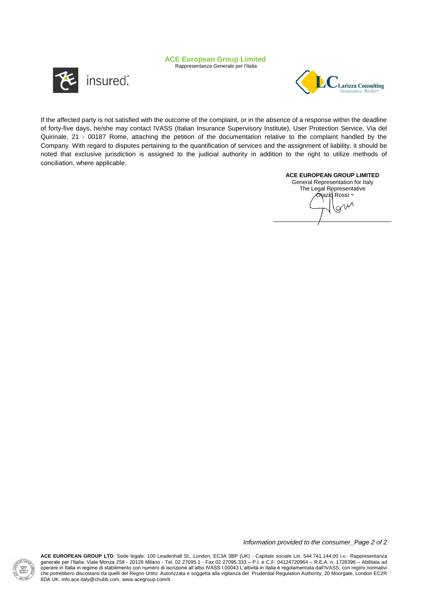Rappresentanza Generale per l'Italia





If the affected party is not satisfied with the outcome of the complaint, or in the absence of a response within the deadline of forty-five days, he/she may contact IVASS (Italian Insurance Supervisory Institute), User Protection Service, Via del Quirinale, 21 - 00187 Rome, attaching the petition of the documentation relative to the complaint handled by the Company. With regard to disputes pertaining to the quantification of services and the assignment of liability, it should be noted that exclusive jurisdiction is assigned to the judicial authority in addition to the right to utilize methods of conciliation, where applicable.

## **ACE EUROPEAN GROUP LIMITED**

General Representation for Italy The Legal Representative Orazio Rossi ~

*Information provided to the consumer\_Page 2 of 2*

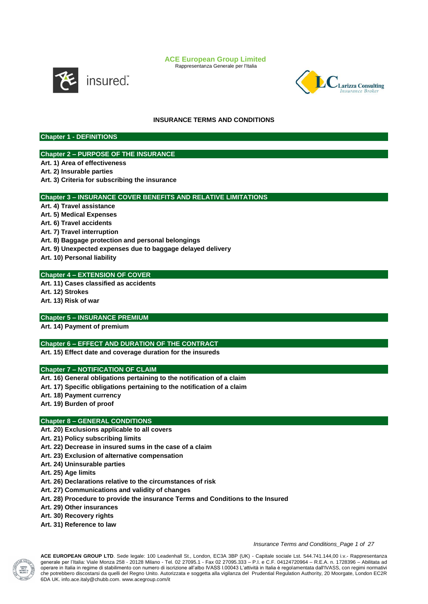Rappresentanza Generale per l'Italia



insured".



## **INSURANCE TERMS AND CONDITIONS**

**Chapter 1 - DEFINITIONS**

## **Chapter 2 – PURPOSE OF THE INSURANCE**

**Art. 1) Area of effectiveness** 

**Art. 2) Insurable parties**

**Art. 3) Criteria for subscribing the insurance**

## **Chapter 3 – INSURANCE COVER BENEFITS AND RELATIVE LIMITATIONS**

**Art. 4) Travel assistance Art. 5) Medical Expenses Art. 6) Travel accidents Art. 7) Travel interruption Art. 8) Baggage protection and personal belongings Art. 9) Unexpected expenses due to baggage delayed delivery Art. 10) Personal liability**

## **Chapter 4 – EXTENSION OF COVER**

**Art. 11) Cases classified as accidents Art. 12) Strokes**

**Art. 13) Risk of war** 

## **Chapter 5 – INSURANCE PREMIUM**

**Art. 14) Payment of premium**

## **Chapter 6 – EFFECT AND DURATION OF THE CONTRACT**

**Art. 15) Effect date and coverage duration for the insureds**

## **Chapter 7 – NOTIFICATION OF CLAIM**

**Art. 16) General obligations pertaining to the notification of a claim** 

**Art. 17) Specific obligations pertaining to the notification of a claim**

**Art. 18) Payment currency**

**Art. 19) Burden of proof**

## **Chapter 8 – GENERAL CONDITIONS**

**Art. 20) Exclusions applicable to all covers**

**Art. 21) Policy subscribing limits**

- **Art. 22) Decrease in insured sums in the case of a claim**
- **Art. 23) Exclusion of alternative compensation**
- **Art. 24) Uninsurable parties**
- **Art. 25) Age limits**
- **Art. 26) Declarations relative to the circumstances of risk**
- **Art. 27) Communications and validity of changes**
- **Art. 28) Procedure to provide the insurance Terms and Conditions to the Insured**
- **Art. 29) Other insurances**
- **Art. 30) Recovery rights**
- **Art. 31) Reference to law**

#### *Insurance Terms and Conditions\_Page 1 of 27*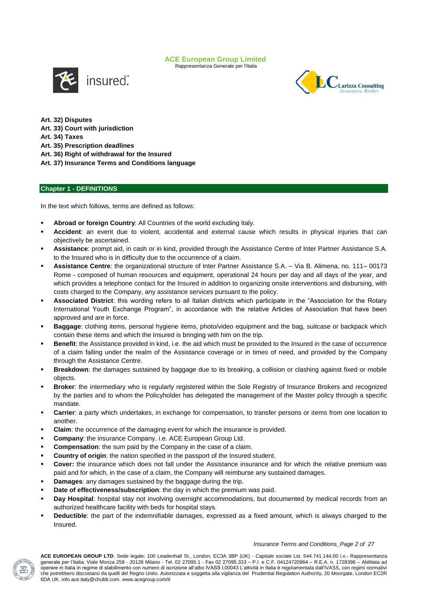Rappresentanza Generale per l'Italia





**Art. 32) Disputes Art. 33) Court with jurisdiction Art. 34) Taxes Art. 35) Prescription deadlines Art. 36) Right of withdrawal for the Insured Art. 37) Insurance Terms and Conditions language**

## **Chapter 1 - DEFINITIONS**

In the text which follows, terms are defined as follows:

- **Abroad or foreign Country**: All Countries of the world excluding Italy.
- **Accident**: an event due to violent, accidental and external cause which results in physical injuries that can objectively be ascertained.
- **Assistance**: prompt aid, in cash or in kind, provided through the Assistance Centre of Inter Partner Assistance S.A. to the Insured who is in difficulty due to the occurrence of a claim.
- **Assistance Centre**: the organizational structure of Inter Partner Assistance S.A. Via B. Alimena, no. 111– 00173 Rome - composed of human resources and equipment, operational 24 hours per day and all days of the year, and which provides a telephone contact for the Insured in addition to organizing onsite interventions and disbursing, with costs charged to the Company, any assistance services pursuant to the policy.
- **Associated District**: this wording refers to all Italian districts which participate in the "Association for the Rotary International Youth Exchange Program", in accordance with the relative Articles of Association that have been approved and are in force.
- **Baggage**: clothing items, personal hygiene items, photo/video equipment and the bag, suitcase or backpack which contain these items and which the Insured is bringing with him on the trip.
- **Benefit**: the Assistance provided in kind, i.e. the aid which must be provided to the Insured in the case of occurrence of a claim falling under the realm of the Assistance coverage or in times of need, and provided by the Company through the Assistance Centre.
- **Breakdown**: the damages sustained by baggage due to its breaking, a collision or clashing against fixed or mobile objects.
- **Broker**: the intermediary who is regularly registered within the Sole Registry of Insurance Brokers and recognized by the parties and to whom the Policyholder has delegated the management of the Master policy through a specific mandate.
- **Carrier**: a party which undertakes, in exchange for compensation, to transfer persons or items from one location to another.
- **Claim**: the occurrence of the damaging event for which the insurance is provided.
- **Company**: the insurance Company, i.e. ACE European Group Ltd.
- **Compensation**: the sum paid by the Company in the case of a claim.
- **Country of origin:** the nation specified in the passport of the Insured student.
- **Cover:** the insurance which does not fall under the Assistance insurance and for which the relative premium was paid and for which, in the case of a claim, the Company will reimburse any sustained damages.
- **Damages**: any damages sustained by the baggage during the trip.
- **Date of effectiveness/subscription**: the day in which the premium was paid.
- **Day Hospital**: hospital stay not involving overnight accommodations, but documented by medical records from an authorized healthcare facility with beds for hospital stays.
- **Deductible**: the part of the indemnifiable damages, expressed as a fixed amount, which is always charged to the Insured.

#### *Insurance Terms and Conditions\_Page 2 of 27*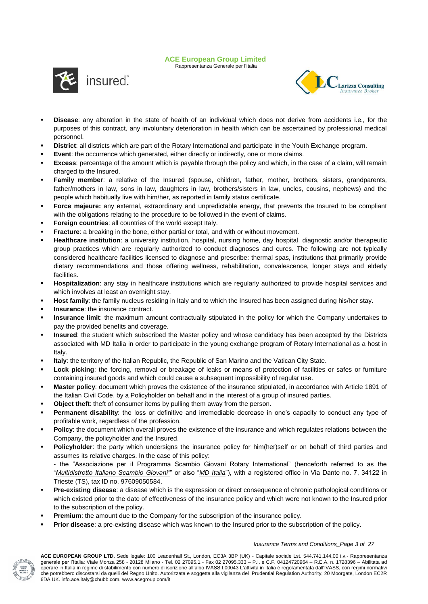Rappresentanza Generale per l'Italia





- **Disease**: any alteration in the state of health of an individual which does not derive from accidents i.e., for the purposes of this contract, any involuntary deterioration in health which can be ascertained by professional medical personnel.
- **District**: all districts which are part of the Rotary International and participate in the Youth Exchange program.
- **Event**: the occurrence which generated, either directly or indirectly, one or more claims.
- **Excess**: percentage of the amount which is payable through the policy and which, in the case of a claim, will remain charged to the Insured.
- **Family member**: a relative of the Insured (spouse, children, father, mother, brothers, sisters, grandparents, father/mothers in law, sons in law, daughters in law, brothers/sisters in law, uncles, cousins, nephews) and the people which habitually live with him/her, as reported in family status certificate.
- Force majeure: any external, extraordinary and unpredictable energy, that prevents the Insured to be compliant with the obligations relating to the procedure to be followed in the event of claims.
- **Foreign countries**: all countries of the world except Italy.
- **Fracture**: a breaking in the bone, either partial or total, and with or without movement.
- **Healthcare institution**: a university institution, hospital, nursing home, day hospital, diagnostic and/or therapeutic group practices which are regularly authorized to conduct diagnoses and cures. The following are not typically considered healthcare facilities licensed to diagnose and prescribe: thermal spas, institutions that primarily provide dietary recommendations and those offering wellness, rehabilitation, convalescence, longer stays and elderly facilities.
- **Hospitalization**: any stay in healthcare institutions which are regularly authorized to provide hospital services and which involves at least an overnight stay.
- **Host family**: the family nucleus residing in Italy and to which the Insured has been assigned during his/her stay.
- **Insurance**: the insurance contract.
- **Insurance limit**: the maximum amount contractually stipulated in the policy for which the Company undertakes to pay the provided benefits and coverage.
- **Insured**: the student which subscribed the Master policy and whose candidacy has been accepted by the Districts associated with MD Italia in order to participate in the young exchange program of Rotary International as a host in Italy.
- **Italy**: the territory of the Italian Republic, the Republic of San Marino and the Vatican City State.
- **Lock picking**: the forcing, removal or breakage of leaks or means of protection of facilities or safes or furniture containing insured goods and which could cause a subsequent impossibility of regular use.
- **Master policy**: document which proves the existence of the insurance stipulated, in accordance with Article 1891 of the Italian Civil Code, by a Policyholder on behalf and in the interest of a group of insured parties.
- **Object theft**: theft of consumer items by pulling them away from the person.
- **Permanent disability**: the loss or definitive and irremediable decrease in one's capacity to conduct any type of profitable work, regardless of the profession.
- **Policy**: the document which overall proves the existence of the insurance and which regulates relations between the Company, the policyholder and the Insured.
- **Policyholder**: the party which undersigns the insurance policy for him(her)self or on behalf of third parties and assumes its relative charges. In the case of this policy:
	- the "Associazione per il Programma Scambio Giovani Rotary International" (henceforth referred to as the "*Multidistretto Italiano Scambio Giovani"*" or also "*MD Italia*"), with a registered office in Via Dante no. 7, 34122 in Trieste (TS), tax ID no. 97609050584.
- **Pre-existing disease**: a disease which is the expression or direct consequence of chronic pathological conditions or which existed prior to the date of effectiveness of the insurance policy and which were not known to the Insured prior to the subscription of the policy.
- **Premium:** the amount due to the Company for the subscription of the insurance policy.
- **Prior disease**: a pre-existing disease which was known to the Insured prior to the subscription of the policy.



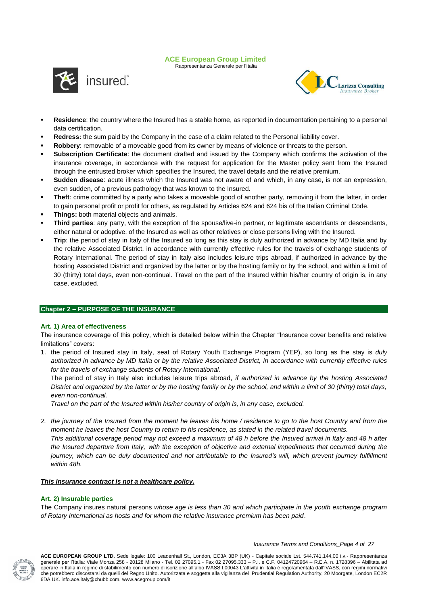Rappresentanza Generale per l'Italia





- **Residence**: the country where the Insured has a stable home, as reported in documentation pertaining to a personal data certification.
- **Redress:** the sum paid by the Company in the case of a claim related to the Personal liability cover.
- **Robbery**: removable of a moveable good from its owner by means of violence or threats to the person.
- **Subscription Certificate**: the document drafted and issued by the Company which confirms the activation of the insurance coverage, in accordance with the request for application for the Master policy sent from the Insured through the entrusted broker which specifies the Insured, the travel details and the relative premium.
- **Sudden disease**: acute illness which the Insured was not aware of and which, in any case, is not an expression, even sudden, of a previous pathology that was known to the Insured.
- **Theft**: crime committed by a party who takes a moveable good of another party, removing it from the latter, in order to gain personal profit or profit for others, as regulated by Articles 624 and 624 bis of the Italian Criminal Code.
- **Things:** both material objects and animals.
- **Third parties**: any party, with the exception of the spouse/live-in partner, or legitimate ascendants or descendants, either natural or adoptive, of the Insured as well as other relatives or close persons living with the Insured.
- **Trip**: the period of stay in Italy of the Insured so long as this stay is duly authorized in advance by MD Italia and by the relative Associated District, in accordance with currently effective rules for the travels of exchange students of Rotary International. The period of stay in Italy also includes leisure trips abroad, if authorized in advance by the hosting Associated District and organized by the latter or by the hosting family or by the school, and within a limit of 30 (thirty) total days, even non-continual. Travel on the part of the Insured within his/her country of origin is, in any case, excluded.

## **Chapter 2 – PURPOSE OF THE INSURANCE**

## **Art. 1) Area of effectiveness**

The insurance coverage of this policy, which is detailed below within the Chapter "Insurance cover benefits and relative limitations" covers:

1. the period of Insured stay in Italy, seat of Rotary Youth Exchange Program (YEP), so long as the stay is *duly authorized in advance by MD Italia or by the relative Associated District, in accordance with currently effective rules for the travels of exchange students of Rotary International*.

The period of stay in Italy also includes leisure trips abroad, *if authorized in advance by the hosting Associated District and organized by the latter or by the hosting family or by the school, and within a limit of 30 (thirty) total days, even non-continual.*

*Travel on the part of the Insured within his/her country of origin is, in any case, excluded.*

*2. the journey of the Insured from the moment he leaves his home / residence to go to the host Country and from the moment he leaves the host Country to return to his residence, as stated in the related travel documents. This additional coverage period may not exceed a maximum of 48 h before the Insured arrival in Italy and 48 h after the Insured departure from Italy, with the exception of objective and external impediments that occurred during the journey, which can be duly documented and not attributable to the Insured's will, which prevent journey fulfillment within 48h.*

## *This insurance contract is not a healthcare policy.*

## **Art. 2) Insurable parties**

The Company insures natural persons *whose age is less than 30 and which participate in the youth exchange program of Rotary International as hosts and for whom the relative insurance premium has been paid*.



*Insurance Terms and Conditions\_Page 4 of 27*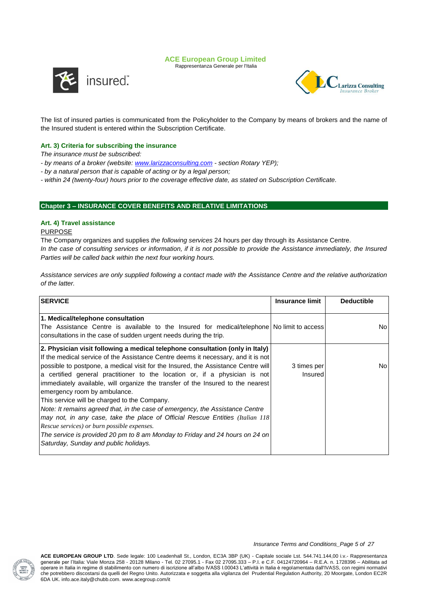Rappresentanza Generale per l'Italia





The list of insured parties is communicated from the Policyholder to the Company by means of brokers and the name of the Insured student is entered within the Subscription Certificate.

## **Art. 3) Criteria for subscribing the insurance**

*The insurance must be subscribed:*

- *- by means of a broker (website: [www.larizzaconsulting.com](http://www.larizzaconsulting.com/) - section Rotary YEP);*
- *- by a natural person that is capable of acting or by a legal person;*
- *- within 24 (twenty-four) hours prior to the coverage effective date, as stated on Subscription Certificate.*

## **Chapter 3 – INSURANCE COVER BENEFITS AND RELATIVE LIMITATIONS**

## **Art. 4) Travel assistance**

## PURPOSE

The Company organizes and supplies *the following services* 24 hours per day through its Assistance Centre. *In the case of consulting services or information, if it is not possible to provide the Assistance immediately, the Insured Parties will be called back within the next four working hours.*

*Assistance services are only supplied following a contact made with the Assistance Centre and the relative authorization of the latter.* 

| <b>SERVICE</b>                                                                                                                                                                                                                                                                                                                                                                                                                                                                                                                                                                                                                                                                                                                                                                                                                                      | Insurance limit               | <b>Deductible</b> |
|-----------------------------------------------------------------------------------------------------------------------------------------------------------------------------------------------------------------------------------------------------------------------------------------------------------------------------------------------------------------------------------------------------------------------------------------------------------------------------------------------------------------------------------------------------------------------------------------------------------------------------------------------------------------------------------------------------------------------------------------------------------------------------------------------------------------------------------------------------|-------------------------------|-------------------|
| 1. Medical/telephone consultation<br>The Assistance Centre is available to the Insured for medical/telephone Nolimit to access<br>consultations in the case of sudden urgent needs during the trip.                                                                                                                                                                                                                                                                                                                                                                                                                                                                                                                                                                                                                                                 |                               | No.               |
| 2. Physician visit following a medical telephone consultation (only in Italy)<br>If the medical service of the Assistance Centre deems it necessary, and it is not<br>possible to postpone, a medical visit for the Insured, the Assistance Centre will<br>a certified general practitioner to the location or, if a physician is not<br>immediately available, will organize the transfer of the Insured to the nearest<br>emergency room by ambulance.<br>This service will be charged to the Company.<br>Note: It remains agreed that, in the case of emergency, the Assistance Centre<br>may not, in any case, take the place of Official Rescue Entities (Italian 118)<br>Rescue services) or burn possible expenses.<br>The service is provided 20 pm to 8 am Monday to Friday and 24 hours on 24 on<br>Saturday, Sunday and public holidays. | 3 times per<br><b>Insured</b> | No                |

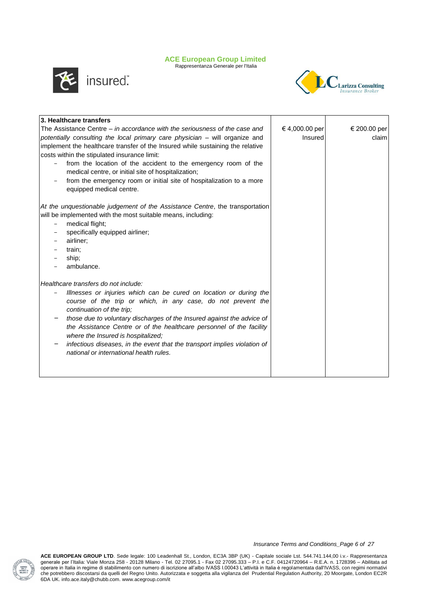Rappresentanza Generale per l'Italia



insured".



| 3. Healthcare transfers                                                        |                |              |
|--------------------------------------------------------------------------------|----------------|--------------|
| The Assistance Centre $-$ in accordance with the seriousness of the case and   | € 4,000.00 per | € 200.00 per |
| potentially consulting the local primary care physician - will organize and    | Insured        | claim        |
| implement the healthcare transfer of the Insured while sustaining the relative |                |              |
| costs within the stipulated insurance limit:                                   |                |              |
| from the location of the accident to the emergency room of the                 |                |              |
| medical centre, or initial site of hospitalization;                            |                |              |
| from the emergency room or initial site of hospitalization to a more           |                |              |
| equipped medical centre.                                                       |                |              |
| At the unquestionable judgement of the Assistance Centre, the transportation   |                |              |
| will be implemented with the most suitable means, including:                   |                |              |
| medical flight;<br>-                                                           |                |              |
| specifically equipped airliner;                                                |                |              |
| airliner;                                                                      |                |              |
| train;                                                                         |                |              |
| ship;                                                                          |                |              |
| ambulance.                                                                     |                |              |
| Healthcare transfers do not include:                                           |                |              |
| Illnesses or injuries which can be cured on location or during the<br>-        |                |              |
| course of the trip or which, in any case, do not prevent the                   |                |              |
| continuation of the trip;                                                      |                |              |
| those due to voluntary discharges of the Insured against the advice of         |                |              |
| the Assistance Centre or of the healthcare personnel of the facility           |                |              |
| where the Insured is hospitalized;                                             |                |              |
| infectious diseases, in the event that the transport implies violation of      |                |              |
| national or international health rules.                                        |                |              |
|                                                                                |                |              |
|                                                                                |                |              |

*Insurance Terms and Conditions\_Page 6 of 27*

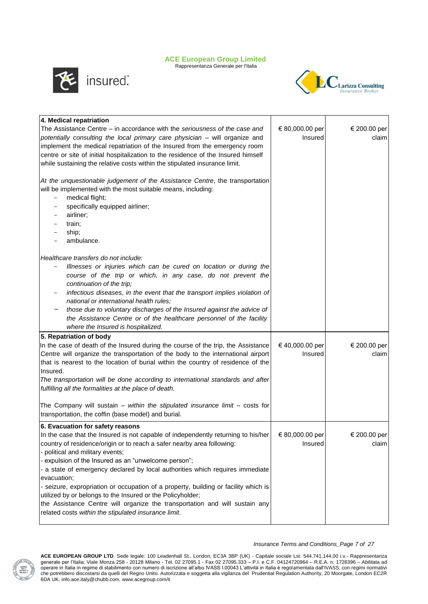Rappresentanza Generale per l'Italia



insured"



| 4. Medical repatriation                                                                                                                                                                                                                                                                                                                                                                                                                                                                                                                                                                                                                                                                 |                            |                       |
|-----------------------------------------------------------------------------------------------------------------------------------------------------------------------------------------------------------------------------------------------------------------------------------------------------------------------------------------------------------------------------------------------------------------------------------------------------------------------------------------------------------------------------------------------------------------------------------------------------------------------------------------------------------------------------------------|----------------------------|-----------------------|
| The Assistance Centre – in accordance with the seriousness of the case and<br>potentially consulting the local primary care physician - will organize and<br>implement the medical repatriation of the Insured from the emergency room<br>centre or site of initial hospitalization to the residence of the Insured himself<br>while sustaining the relative costs within the stipulated insurance limit.                                                                                                                                                                                                                                                                               | € 80,000.00 per<br>Insured | € 200.00 per<br>claim |
| At the unquestionable judgement of the Assistance Centre, the transportation<br>will be implemented with the most suitable means, including:<br>medical flight;<br>$\qquad \qquad =$<br>specifically equipped airliner;<br>$\overline{\phantom{a}}$<br>airliner;<br>train;<br>ship;<br>ambulance.                                                                                                                                                                                                                                                                                                                                                                                       |                            |                       |
| Healthcare transfers do not include:<br>Illnesses or injuries which can be cured on location or during the<br>course of the trip or which, in any case, do not prevent the<br>continuation of the trip;<br>infectious diseases, in the event that the transport implies violation of<br>national or international health rules;<br>those due to voluntary discharges of the Insured against the advice of<br>the Assistance Centre or of the healthcare personnel of the facility<br>where the Insured is hospitalized.                                                                                                                                                                 |                            |                       |
| 5. Repatriation of body<br>In the case of death of the Insured during the course of the trip, the Assistance<br>Centre will organize the transportation of the body to the international airport<br>that is nearest to the location of burial within the country of residence of the<br>Insured.<br>The transportation will be done according to international standards and after<br>fulfilling all the formalities at the place of death.<br>The Company will sustain - within the stipulated insurance limit - costs for<br>transportation, the coffin (base model) and burial.                                                                                                      | € 40,000.00 per<br>Insured | € 200.00 per<br>claim |
| 6. Evacuation for safety reasons<br>In the case that the Insured is not capable of independently returning to his/her<br>country of residence/origin or to reach a safer nearby area following:<br>- political and military events;<br>- expulsion of the Insured as an "unwelcome person";<br>- a state of emergency declared by local authorities which requires immediate<br>evacuation;<br>- seizure, expropriation or occupation of a property, building or facility which is<br>utilized by or belongs to the Insured or the Policyholder;<br>the Assistance Centre will organize the transportation and will sustain any<br>related costs within the stipulated insurance limit. | € 80,000.00 per<br>Insured | € 200.00 per<br>claim |



*Insurance Terms and Conditions\_Page 7 of 27*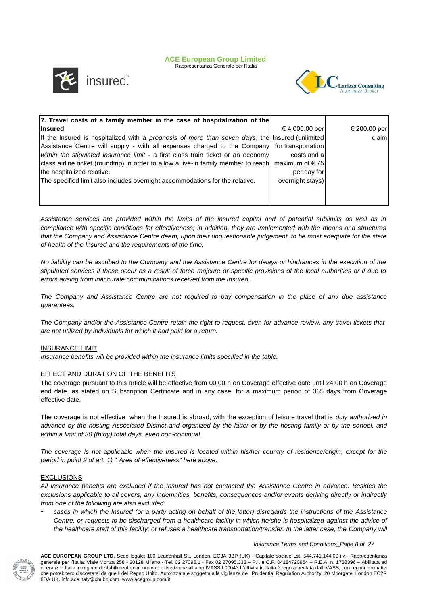Rappresentanza Generale per l'Italia



insured".



| 7. Travel costs of a family member in the case of hospitalization of the                              |                  |              |
|-------------------------------------------------------------------------------------------------------|------------------|--------------|
| <b>Insured</b>                                                                                        | €4,000.00 per    | € 200.00 per |
| If the Insured is hospitalized with a prognosis of more than seven days, the Insured (unlimited)      |                  | claim        |
| Assistance Centre will supply - with all expenses charged to the Company for transportation           |                  |              |
| within the stipulated insurance limit - a first class train ticket or an economy                      | costs and all    |              |
| class airline ticket (roundtrip) in order to allow a live-in family member to reach   maximum of € 75 |                  |              |
| the hospitalized relative.                                                                            | per day for      |              |
| The specified limit also includes overnight accommodations for the relative.                          | overnight stays) |              |
|                                                                                                       |                  |              |
|                                                                                                       |                  |              |

*Assistance services are provided within the limits of the insured capital and of potential sublimits as well as in compliance with specific conditions for effectiveness; in addition, they are implemented with the means and structures that the Company and Assistance Centre deem, upon their unquestionable judgement, to be most adequate for the state of health of the Insured and the requirements of the time.*

*No liability can be ascribed to the Company and the Assistance Centre for delays or hindrances in the execution of the stipulated services if these occur as a result of force majeure or specific provisions of the local authorities or if due to errors arising from inaccurate communications received from the Insured.*

*The Company and Assistance Centre are not required to pay compensation in the place of any due assistance guarantees.*

*The Company and/or the Assistance Centre retain the right to request, even for advance review, any travel tickets that are not utilized by individuals for which it had paid for a return.*

## INSURANCE LIMIT

*Insurance benefits will be provided within the insurance limits specified in the table.*

## EFFECT AND DURATION OF THE BENEFITS

The coverage pursuant to this article will be effective from 00:00 h on Coverage effective date until 24:00 h on Coverage end date, as stated on Subscription Certificate and in any case, for a maximum period of 365 days from Coverage effective date.

The coverage is not effective when the Insured is abroad, with the exception of leisure travel that is *duly authorized in advance by the hosting Associated District and organized by the latter or by the hosting family or by the school, and within a limit of 30 (thirty) total days, even non-continual*.

*The coverage is not applicable when the Insured is located within his/her country of residence/origin, except for the period in point 2 of art. 1) " Area of effectiveness" here above.*

## EXCLUSIONS

*All insurance benefits are excluded if the Insured has not contacted the Assistance Centre in advance. Besides the exclusions applicable to all covers, any indemnities, benefits, consequences and/or events deriving directly or indirectly from one of the following are also excluded:*

- *cases in which the Insured (or a party acting on behalf of the latter) disregards the instructions of the Assistance Centre, or requests to be discharged from a healthcare facility in which he/she is hospitalized against the advice of the healthcare staff of this facility; or refuses a healthcare transportation/transfer. In the latter case, the Company will* 



*Insurance Terms and Conditions\_Page 8 of 27*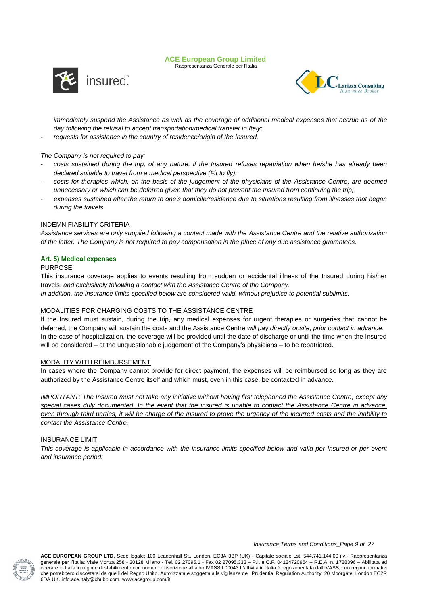Rappresentanza Generale per l'Italia



arizza Consulting

*immediately suspend the Assistance as well as the coverage of additional medical expenses that accrue as of the day following the refusal to accept transportation/medical transfer in Italy;*

- *requests for assistance in the country of residence/origin of the Insured.*

## *The Company is not required to pay:*

- *costs sustained during the trip, of any nature, if the Insured refuses repatriation when he/she has already been declared suitable to travel from a medical perspective (Fit to fly);*
- *costs for therapies which, on the basis of the judgement of the physicians of the Assistance Centre, are deemed unnecessary or which can be deferred given that they do not prevent the Insured from continuing the trip;*
- expenses sustained after the return to one's domicile/residence due to situations resulting from illnesses that began *during the travels.*

## INDEMNIFIABILITY CRITERIA

*Assistance services are only supplied following a contact made with the Assistance Centre and the relative authorization of the latter. The Company is not required to pay compensation in the place of any due assistance guarantees.*

## **Art. 5) Medical expenses**

## PURPOSE

This insurance coverage applies to events resulting from sudden or accidental illness of the Insured during his/her travels, *and exclusively following a contact with the Assistance Centre of the Company*. *In addition, the insurance limits specified below are considered valid, without prejudice to potential sublimits.*

## MODALITIES FOR CHARGING COSTS TO THE ASSISTANCE CENTRE

If the Insured must sustain, during the trip, any medical expenses for urgent therapies or surgeries that cannot be deferred, the Company will sustain the costs and the Assistance Centre *will pay directly onsite, prior contact in advance*. In the case of hospitalization, the coverage will be provided until the date of discharge or until the time when the Insured will be considered – at the unquestionable judgement of the Company's physicians – to be repatriated.

## MODALITY WITH REIMBURSEMENT

In cases where the Company cannot provide for direct payment, the expenses will be reimbursed so long as they are authorized by the Assistance Centre itself and which must, even in this case, be contacted in advance.

*IMPORTANT: The Insured must not take any initiative without having first telephoned the Assistance Centre, except any special cases duly documented. In the event that the insured is unable to contact the Assistance Centre in advance, even through third parties, it will be charge of the Insured to prove the urgency of the incurred costs and the inability to contact the Assistance Centre.*

## INSURANCE LIMIT

*This coverage is applicable in accordance with the insurance limits specified below and valid per Insured or per event and insurance period:*



*Insurance Terms and Conditions\_Page 9 of 27*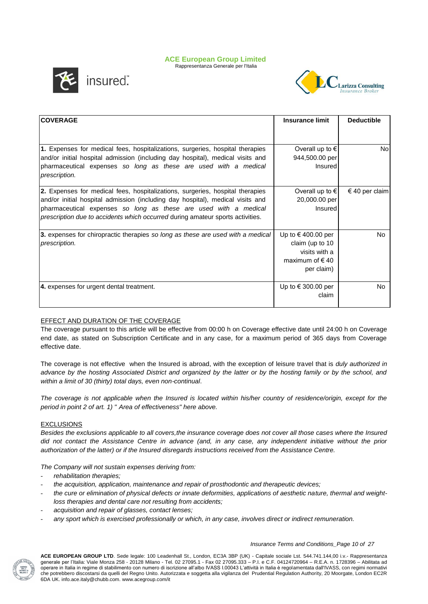Rappresentanza Generale per l'Italia



insured".



| <b>COVERAGE</b>                                                                                                                                                                                                                                                                                                              | <b>Insurance limit</b>                                                                            | <b>Deductible</b> |
|------------------------------------------------------------------------------------------------------------------------------------------------------------------------------------------------------------------------------------------------------------------------------------------------------------------------------|---------------------------------------------------------------------------------------------------|-------------------|
|                                                                                                                                                                                                                                                                                                                              |                                                                                                   |                   |
| <b>1.</b> Expenses for medical fees, hospitalizations, surgeries, hospital therapies<br>and/or initial hospital admission (including day hospital), medical visits and<br>pharmaceutical expenses so long as these are used with a medical<br>prescription.                                                                  | Overall up to $\epsilon$<br>944,500.00 per<br>Insured                                             | No                |
| <b>2.</b> Expenses for medical fees, hospitalizations, surgeries, hospital therapies<br>and/or initial hospital admission (including day hospital), medical visits and<br>pharmaceutical expenses so long as these are used with a medical<br>prescription due to accidents which occurred during amateur sports activities. | Overall up to $\epsilon$<br>20,000.00 per<br>Insured                                              | $€ 40$ per claim  |
| 3. expenses for chiropractic therapies so long as these are used with a medical<br>prescription.                                                                                                                                                                                                                             | Up to $\in$ 400.00 per<br>claim (up to $10$<br>visits with a<br>maximum of $\in$ 40<br>per claim) | No.               |
| 4. expenses for urgent dental treatment.                                                                                                                                                                                                                                                                                     | Up to € 300.00 per<br>claim                                                                       | No.               |

## EFFECT AND DURATION OF THE COVERAGE

The coverage pursuant to this article will be effective from 00:00 h on Coverage effective date until 24:00 h on Coverage end date, as stated on Subscription Certificate and in any case, for a maximum period of 365 days from Coverage effective date.

The coverage is not effective when the Insured is abroad, with the exception of leisure travel that is *duly authorized in advance by the hosting Associated District and organized by the latter or by the hosting family or by the school, and within a limit of 30 (thirty) total days, even non-continual*.

*The coverage is not applicable when the Insured is located within his/her country of residence/origin, except for the period in point 2 of art. 1) " Area of effectiveness" here above.*

## EXCLUSIONS

*Besides the exclusions applicable to all covers,the insurance coverage does not cover all those cases where the Insured did not contact the Assistance Centre in advance (and, in any case, any independent initiative without the prior authorization of the latter) or if the Insured disregards instructions received from the Assistance Centre.*

*The Company will not sustain expenses deriving from:* 

- *rehabilitation therapies;*
- *the acquisition, application, maintenance and repair of prosthodontic and therapeutic devices;*
- *the cure or elimination of physical defects or innate deformities, applications of aesthetic nature, thermal and weightloss therapies and dental care not resulting from accidents;*
- *acquisition and repair of glasses, contact lenses;*
- *any sport which is exercised professionally or which, in any case, involves direct or indirect remuneration.*

## *Insurance Terms and Conditions\_Page 10 of 27*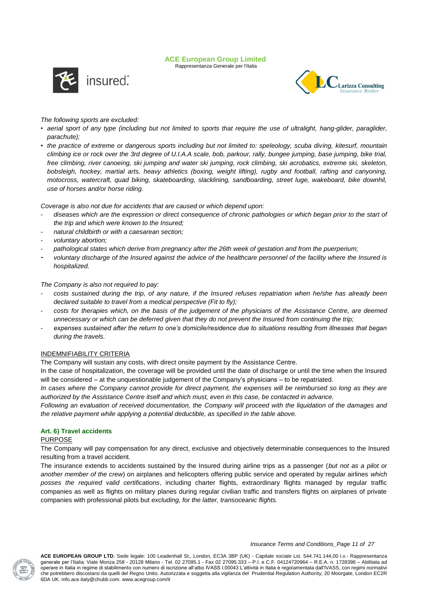Rappresentanza Generale per l'Italia





## *The following sports are excluded:*

- *aerial sport of any type (including but not limited to sports that require the use of ultralight, hang-glider, paraglider, parachute);*
- *the practice of extreme or dangerous sports including but not limited to: speleology, scuba diving, kitesurf, mountain climbing ice or rock over the 3rd degree of U.I.A.A scale, bob, parkour, rally, bungee jumping, base jumping, bike trial, free climbing, river canoeing, ski jumping and water ski jumping, rock climbing, ski acrobatics, extreme ski, skeleton, bobsleigh, hockey, martial arts, heavy athletics (boxing, weight lifting), rugby and football, rafting and canyoning, motocross, watercraft, quad biking, skateboarding, slacklining, sandboarding, street luge, wakeboard, bike downhil, use of horses and/or horse riding.*

*Coverage is also not due for accidents that are caused or which depend upon:*

- *diseases which are the expression or direct consequence of chronic pathologies or which began prior to the start of the trip and which were known to the Insured;*
- *natural childbirth or with a caesarean section;*
- *voluntary abortion;*
- *pathological states which derive from pregnancy after the 26th week of gestation and from the puerperium;*
- *voluntary discharge of the Insured against the advice of the healthcare personnel of the facility where the Insured is hospitalized.*

*The Company is also not required to pay:*

- *costs sustained during the trip, of any nature, if the Insured refuses repatriation when he/she has already been declared suitable to travel from a medical perspective (Fit to fly);*
- *costs for therapies which, on the basis of the judgement of the physicians of the Assistance Centre, are deemed unnecessary or which can be deferred given that they do not prevent the Insured from continuing the trip;*
- *expenses sustained after the return to one's domicile/residence due to situations resulting from illnesses that began during the travels.*

## INDEMNIFIABILITY CRITERIA

The Company will sustain any costs, with direct onsite payment by the Assistance Centre.

In the case of hospitalization, the coverage will be provided until the date of discharge or until the time when the Insured will be considered – at the unquestionable judgement of the Company's physicians – to be repatriated.

*In cases where the Company cannot provide for direct payment, the expenses will be reimbursed so long as they are authorized by the Assistance Centre itself and which must, even in this case, be contacted in advance.*

*Following an evaluation of received documentation, the Company will proceed with the liquidation of the damages and the relative payment while applying a potential deductible, as specified in the table above.*

## **Art. 6) Travel accidents**

## PURPOSE

The Company will pay compensation for any direct, exclusive and objectively determinable consequences to the Insured resulting from a travel accident.

The insurance extends to accidents sustained by the Insured during airline trips as a passenger (*but not as a pilot or another member of the crew*) on airplanes and helicopters offering public service and operated by regular airlines *which posses the required valid certifications*, including charter flights, extraordinary flights managed by regular traffic companies as well as flights on military planes during regular civilian traffic and transfers flights on airplanes of private companies with professional pilots but *excluding, for the latter, transoceanic flights.*



*Insurance Terms and Conditions\_Page 11 of 27*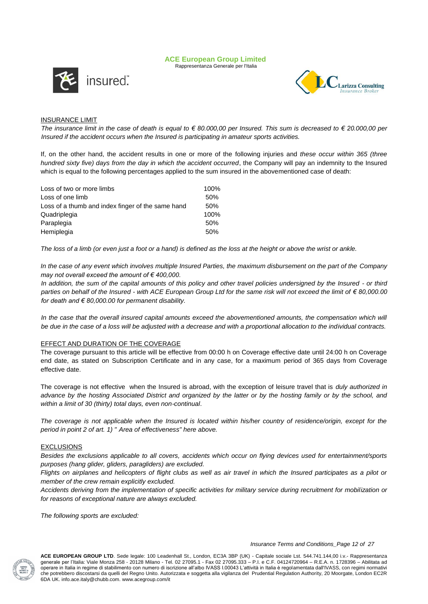Rappresentanza Generale per l'Italia





## INSURANCE LIMIT

*The insurance limit in the case of death is equal to € 80.000,00 per Insured. This sum is decreased to € 20.000,00 per Insured if the accident occurs when the Insured is participating in amateur sports activities.*

If, on the other hand, the accident results in one or more of the following injuries and *these occur within 365 (three hundred sixty five) days from the day in which the accident occurred*, the Company will pay an indemnity to the Insured which is equal to the following percentages applied to the sum insured in the abovementioned case of death:

| Loss of two or more limbs                         | 100% |
|---------------------------------------------------|------|
| Loss of one limb                                  | 50%  |
| Loss of a thumb and index finger of the same hand | 50%  |
| Quadriplegia                                      | 100% |
| Paraplegia                                        | 50%  |
| Hemiplegia                                        | 50%  |

*The loss of a limb (or even just a foot or a hand) is defined as the loss at the height or above the wrist or ankle.*

*In the case of any event which involves multiple Insured Parties, the maximum disbursement on the part of the Company may not overall exceed the amount of € 400,000.* 

*In addition, the sum of the capital amounts of this policy and other travel policies undersigned by the Insured - or third parties on behalf of the Insured - with ACE European Group Ltd for the same risk will not exceed the limit of € 80,000.00 for death and € 80,000.00 for permanent disability.*

In the case that the overall insured capital amounts exceed the abovementioned amounts, the compensation which will *be due in the case of a loss will be adjusted with a decrease and with a proportional allocation to the individual contracts.*

## EFFECT AND DURATION OF THE COVERAGE

The coverage pursuant to this article will be effective from 00:00 h on Coverage effective date until 24:00 h on Coverage end date, as stated on Subscription Certificate and in any case, for a maximum period of 365 days from Coverage effective date.

The coverage is not effective when the Insured is abroad, with the exception of leisure travel that is *duly authorized in advance by the hosting Associated District and organized by the latter or by the hosting family or by the school, and within a limit of 30 (thirty) total days, even non-continual*.

The coverage is not applicable when the Insured is located within his/her country of residence/origin, except for the *period in point 2 of art. 1) " Area of effectiveness" here above.*

## EXCLUSIONS

*Besides the exclusions applicable to all covers, accidents which occur on flying devices used for entertainment/sports purposes (hang glider, gliders, paragliders) are excluded.*

*Flights on airplanes and helicopters of flight clubs as well as air travel in which the Insured participates as a pilot or member of the crew remain explicitly excluded.*

*Accidents deriving from the implementation of specific activities for military service during recruitment for mobilization or for reasons of exceptional nature are always excluded.*

*The following sports are excluded:*



#### *Insurance Terms and Conditions\_Page 12 of 27*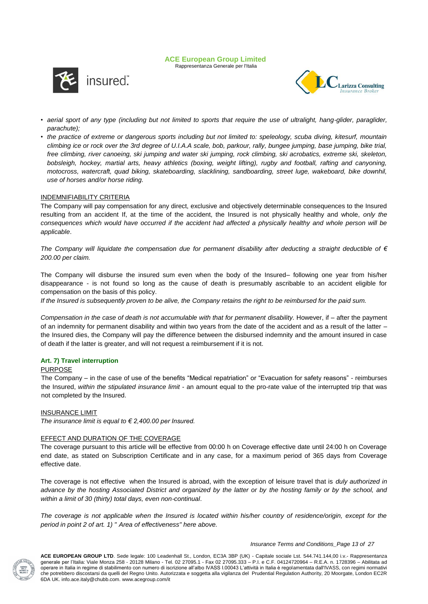Rappresentanza Generale per l'Italia





- *aerial sport of any type (including but not limited to sports that require the use of ultralight, hang-glider, paraglider, parachute);*
- *the practice of extreme or dangerous sports including but not limited to: speleology, scuba diving, kitesurf, mountain climbing ice or rock over the 3rd degree of U.I.A.A scale, bob, parkour, rally, bungee jumping, base jumping, bike trial, free climbing, river canoeing, ski jumping and water ski jumping, rock climbing, ski acrobatics, extreme ski, skeleton, bobsleigh, hockey, martial arts, heavy athletics (boxing, weight lifting), rugby and football, rafting and canyoning, motocross, watercraft, quad biking, skateboarding, slacklining, sandboarding, street luge, wakeboard, bike downhil, use of horses and/or horse riding.*

## INDEMNIFIABILITY CRITERIA

The Company will pay compensation for any direct, exclusive and objectively determinable consequences to the Insured resulting from an accident If, at the time of the accident, the Insured is not physically healthy and whole, *only the*  consequences which would have occurred if the accident had affected a physically healthy and whole person will be *applicable*.

*The Company will liquidate the compensation due for permanent disability after deducting a straight deductible of € 200.00 per claim.* 

The Company will disburse the insured sum even when the body of the Insured– following one year from his/her disappearance - is not found so long as the cause of death is presumably ascribable to an accident eligible for compensation on the basis of this policy.

*If the Insured is subsequently proven to be alive, the Company retains the right to be reimbursed for the paid sum.*

*Compensation in the case of death is not accumulable with that for permanent disability.* However, if – after the payment of an indemnity for permanent disability and within two years from the date of the accident and as a result of the latter – the Insured dies, the Company will pay the difference between the disbursed indemnity and the amount insured in case of death if the latter is greater, and will not request a reimbursement if it is not.

## **Art. 7) Travel interruption**

## PURPOSE

The Company – in the case of use of the benefits "Medical repatriation" or "Evacuation for safety reasons" - reimburses the Insured, *within the stipulated insurance limit* - an amount equal to the pro-rate value of the interrupted trip that was not completed by the Insured.

## INSURANCE LIMIT

*The insurance limit is equal to € 2,400.00 per Insured.*

## EFFECT AND DURATION OF THE COVERAGE

The coverage pursuant to this article will be effective from 00:00 h on Coverage effective date until 24:00 h on Coverage end date, as stated on Subscription Certificate and in any case, for a maximum period of 365 days from Coverage effective date.

The coverage is not effective when the Insured is abroad, with the exception of leisure travel that is *duly authorized in advance by the hosting Associated District and organized by the latter or by the hosting family or by the school, and within a limit of 30 (thirty) total days, even non-continual*.

*The coverage is not applicable when the Insured is located within his/her country of residence/origin, except for the period in point 2 of art. 1) " Area of effectiveness" here above.*

#### *Insurance Terms and Conditions\_Page 13 of 27*

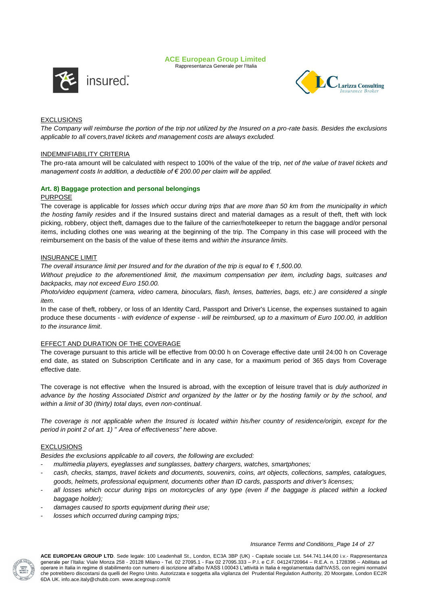Rappresentanza Generale per l'Italia



Larizza Consulting

## EXCLUSIONS

*The Company will reimburse the portion of the trip not utilized by the Insured on a pro-rate basis. Besides the exclusions applicable to all covers,travel tickets and management costs are always excluded.*

## INDEMNIFIABILITY CRITERIA

The pro-rata amount will be calculated with respect to 100% of the value of the trip, *net of the value of travel tickets and management costs In addition, a deductible of € 200.00 per claim will be applied.*

## **Art. 8) Baggage protection and personal belongings**

## PURPOSE

The coverage is applicable for *losses which occur during trips that are more than 50 km from the municipality in which the hosting family resides* and if the Insured sustains direct and material damages as a result of theft, theft with lock picking, robbery, object theft, damages due to the failure of the carrier/hotelkeeper to return the baggage and/or personal items, including clothes one was wearing at the beginning of the trip. The Company in this case will proceed with the reimbursement on the basis of the value of these items and *within the insurance limits*.

## INSURANCE LIMIT

*The overall insurance limit per Insured and for the duration of the trip is equal to € 1,500.00.*

*Without prejudice to the aforementioned limit, the maximum compensation per item, including bags, suitcases and backpacks, may not exceed Euro 150.00.*

*Photo/video equipment (camera, video camera, binoculars, flash, lenses, batteries, bags, etc.) are considered a single item.*

In the case of theft, robbery, or loss of an Identity Card, Passport and Driver's License, the expenses sustained to again produce these documents - *with evidence of expense - will be reimbursed, up to a maximum of Euro 100.00, in addition to the insurance limit*.

## EFFECT AND DURATION OF THE COVERAGE

The coverage pursuant to this article will be effective from 00:00 h on Coverage effective date until 24:00 h on Coverage end date, as stated on Subscription Certificate and in any case, for a maximum period of 365 days from Coverage effective date.

The coverage is not effective when the Insured is abroad, with the exception of leisure travel that is *duly authorized in advance by the hosting Associated District and organized by the latter or by the hosting family or by the school, and within a limit of 30 (thirty) total days, even non-continual*.

*The coverage is not applicable when the Insured is located within his/her country of residence/origin, except for the period in point 2 of art. 1) " Area of effectiveness" here above.*

## EXCLUSIONS

*Besides the exclusions applicable to all covers, the following are excluded:*

- *multimedia players, eyeglasses and sunglasses, battery chargers, watches, smartphones;*
- *cash, checks, stamps, travel tickets and documents, souvenirs, coins, art objects, collections, samples, catalogues, goods, helmets, professional equipment, documents other than ID cards, passports and driver's licenses;*
- all losses which occur during trips on motorcycles of any type (even if the baggage is placed within a locked *baggage holder);*
- *damages caused to sports equipment during their use;*
- *losses which occurred during camping trips;*

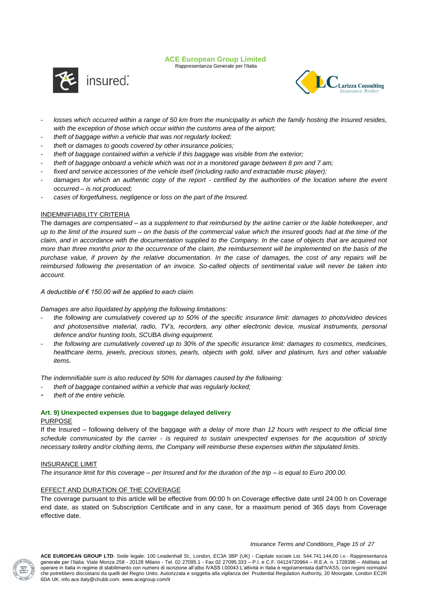Rappresentanza Generale per l'Italia





- *losses which occurred within a range of 50 km from the municipality in which the family hosting the Insured resides, with the exception of those which occur within the customs area of the airport;*
- *theft of baggage within a vehicle that was not regularly locked;*
- *theft or damages to goods covered by other insurance policies;*
- *theft of baggage contained within a vehicle if this baggage was visible from the exterior;*
- *theft of baggage onboard a vehicle which was not in a monitored garage between 8 pm and 7 am;*
- *fixed and service accessories of the vehicle itself (including radio and extractable music player);*
- damages for which an authentic copy of the report certified by the authorities of the location where the event *occurred – is not produced;*
- *cases of forgetfulness, negligence or loss on the part of the Insured.*

## INDEMNIFIABILITY CRITERIA

The damages *are compensated – as a supplement to that reimbursed by the airline carrier or the liable hotelkeeper, and up to the limit of the insured sum – on the basis of the commercial value which the insured goods had at the time of the claim, and in accordance with the documentation supplied to the Company*. *In the case of objects that are acquired not more than three months prior to the occurrence of the claim, the reimbursement will be implemented on the basis of the purchase value, if proven by the relative documentation. In the case of damages, the cost of any repairs will be reimbursed following the presentation of an invoice. So-called objects of sentimental value will never be taken into account.*

*A deductible of € 150.00 will be applied to each claim.*

*Damages are also liquidated by applying the following limitations:*

- *the following are cumulatively covered up to 50% of the specific insurance limit: damages to photo/video devices*  and photosensitive material, radio, TV's, recorders, any other electronic device, musical instruments, personal *defence and/or hunting tools, SCUBA diving equipment.*
- *the following are cumulatively covered up to 30% of the specific insurance limit: damages to cosmetics, medicines, healthcare items, jewels, precious stones, pearls, objects with gold, silver and platinum, furs and other valuable items.*

*The indemnifiable sum is also reduced by 50% for damages caused by the following:*

- *theft of baggage contained within a vehicle that was regularly locked;*
- *theft of the entire vehicle.*

## **Art. 9) Unexpected expenses due to baggage delayed delivery**

#### PURPOSE

If the Insured – following delivery of the baggage *with a delay of more than 12 hours with respect to the official time schedule communicated by the carrier - is required to sustain unexpected expenses for the acquisition of strictly necessary toiletry and/or clothing items, the Company will reimburse these expenses within the stipulated limits*.

## INSURANCE LIMIT

*The insurance limit for this coverage – per Insured and for the duration of the trip – is equal to Euro 200.00.*

## EFFECT AND DURATION OF THE COVERAGE

The coverage pursuant to this article will be effective from 00:00 h on Coverage effective date until 24:00 h on Coverage end date, as stated on Subscription Certificate and in any case, for a maximum period of 365 days from Coverage effective date.



*Insurance Terms and Conditions\_Page 15 of 27*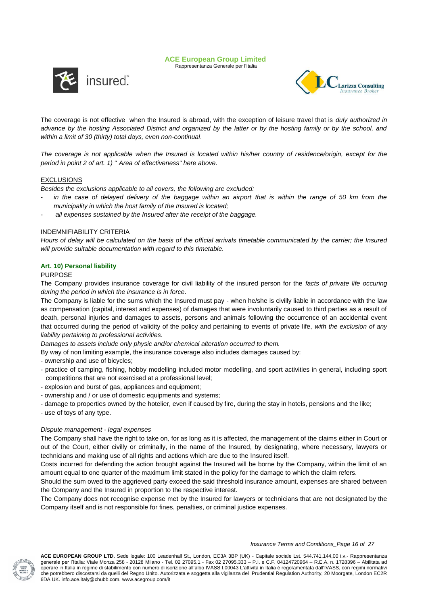





The coverage is not effective when the Insured is abroad, with the exception of leisure travel that is *duly authorized in advance by the hosting Associated District and organized by the latter or by the hosting family or by the school, and within a limit of 30 (thirty) total days, even non-continual*.

*The coverage is not applicable when the Insured is located within his/her country of residence/origin, except for the period in point 2 of art. 1) " Area of effectiveness" here above.*

## EXCLUSIONS

*Besides the exclusions applicable to all covers, the following are excluded:*

- in the case of delayed delivery of the baggage within an airport that is within the range of 50 km from the *municipality in which the host family of the Insured is located;*
- *all expenses sustained by the Insured after the receipt of the baggage.*

## INDEMNIFIABILITY CRITERIA

*Hours of delay will be calculated on the basis of the official arrivals timetable communicated by the carrier; the Insured will provide suitable documentation with regard to this timetable.*

## **Art. 10) Personal liability**

## PURPOSE

The Company provides insurance coverage for civil liability of the insured person for the *facts of private life occuring during the period in which the insurance is in force*.

The Company is liable for the sums which the Insured must pay - when he/she is civilly liable in accordance with the law as compensation (capital, interest and expenses) of damages that were involuntarily caused to third parties as a result of death, personal injuries and damages to assets, persons and animals following the occurrence of an accidental event that occurred during the period of validity of the policy and pertaining to events of private life, *with the exclusion of any liability pertaining to professional activities*.

*Damages to assets include only physic and/or chemical alteration occurred to them.* 

By way of non limiting example, the insurance coverage also includes damages caused by:

- ownership and use of bicycles;

- practice of camping, fishing, hobby modelling included motor modelling, and sport activities in general, including sport competitions that are not exercised at a professional level;
- explosion and burst of gas, appliances and equipment;
- ownership and / or use of domestic equipments and systems;
- damage to properties owned by the hotelier, even if caused by fire, during the stay in hotels, pensions and the like;
- use of toys of any type.

## *Dispute management - legal expenses*

The Company shall have the right to take on, for as long as it is affected, the management of the claims either in Court or out of the Court, either civilly or criminally, in the name of the Insured, by designating, where necessary, lawyers or technicians and making use of all rights and actions which are due to the Insured itself.

Costs incurred for defending the action brought against the Insured will be borne by the Company, within the limit of an amount equal to one quarter of the maximum limit stated in the policy for the damage to which the claim refers.

Should the sum owed to the aggrieved party exceed the said threshold insurance amount, expenses are shared between the Company and the Insured in proportion to the respective interest.

The Company does not recognise expense met by the Insured for lawyers or technicians that are not designated by the Company itself and is not responsible for fines, penalties, or criminal justice expenses.



#### *Insurance Terms and Conditions\_Page 16 of 27*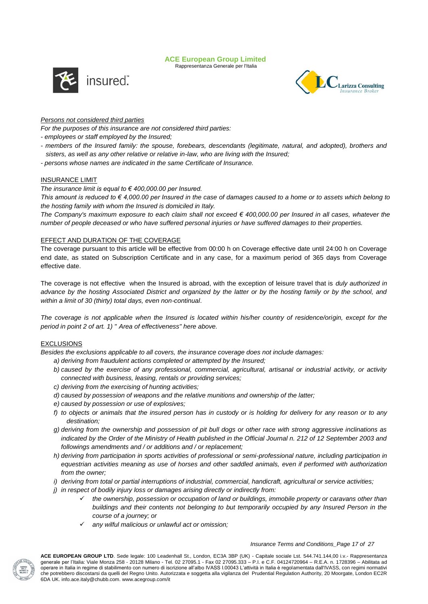Rappresentanza Generale per l'Italia





## *Persons not considered third parties*

*For the purposes of this insurance are not considered third parties:*

- *- employees or staff employed by the Insured;*
- *- members of the Insured family: the spouse, forebears, descendants (legitimate, natural, and adopted), brothers and sisters, as well as any other relative or relative in-law, who are living with the Insured;*
- *- persons whose names are indicated in the same Certificate of Insurance.*

## INSURANCE LIMIT

## *The insurance limit is equal to € 400,000.00 per Insured.*

*This amount is reduced to € 4,000.00 per Insured in the case of damages caused to a home or to assets which belong to the hosting family with whom the Insured is domiciled in Italy.*

*The Company's maximum exposure to each claim shall not exceed € 400,000.00 per Insured in all cases, whatever the number of people deceased or who have suffered personal injuries or have suffered damages to their properties.*

## EFFECT AND DURATION OF THE COVERAGE

The coverage pursuant to this article will be effective from 00:00 h on Coverage effective date until 24:00 h on Coverage end date, as stated on Subscription Certificate and in any case, for a maximum period of 365 days from Coverage effective date.

The coverage is not effective when the Insured is abroad, with the exception of leisure travel that is *duly authorized in advance by the hosting Associated District and organized by the latter or by the hosting family or by the school, and within a limit of 30 (thirty) total days, even non-continual*.

*The coverage is not applicable when the Insured is located within his/her country of residence/origin, except for the period in point 2 of art. 1) " Area of effectiveness" here above.*

## EXCLUSIONS

*Besides the exclusions applicable to all covers, the insurance coverage does not include damages:*

- *a) deriving from fraudulent actions completed or attempted by the Insured;*
- *b) caused by the exercise of any professional, commercial, agricultural, artisanal or industrial activity, or activity connected with business, leasing, rentals or providing services;*
- *c) deriving from the exercising of hunting activities;*
- *d) caused by possession of weapons and the relative munitions and ownership of the latter;*
- *e) caused by possession or use of explosives;*
- *f) to objects or animals that the insured person has in custody or is holding for delivery for any reason or to any destination;*
- *g) deriving from the ownership and possession of pit bull dogs or other race with strong aggressive inclinations as indicated by the Order of the Ministry of Health published in the Official Journal n. 212 of 12 September 2003 and followings amendments and / or additions and / or replacement;*
- *h) deriving from participation in sports activities of professional or semi-professional nature, including participation in equestrian activities meaning as use of horses and other saddled animals, even if performed with authorization from the owner;*
- *i) deriving from total or partial interruptions of industrial, commercial, handicraft, agricultural or service activities;*
- *j) in respect of bodily injury loss or damages arising directly or indirectly from:* 
	- *the ownership, possession or occupation of land or buildings, immobile property or caravans other than buildings and their contents not belonging to but temporarily occupied by any Insured Person in the course of a journey; or*
	- *any wilful malicious or unlawful act or omission;*

#### *Insurance Terms and Conditions\_Page 17 of 27*

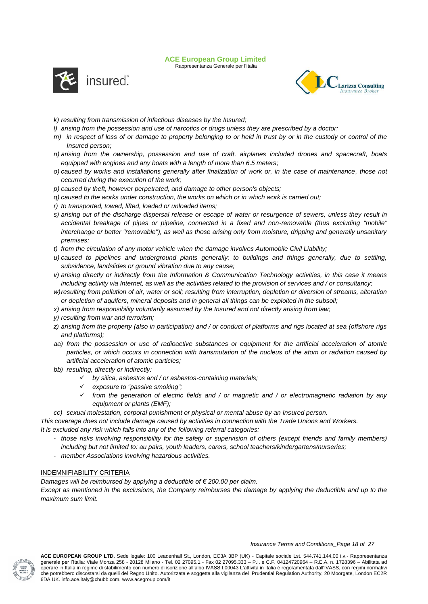Rappresentanza Generale per l'Italia





- *k) resulting from transmission of infectious diseases by the Insured;*
- *l) arising from the possession and use of narcotics or drugs unless they are prescribed by a doctor;*
- *m) in respect of loss of or damage to property belonging to or held in trust by or in the custody or control of the Insured person;*
- *n) arising from the ownership, possession and use of craft, airplanes included drones and spacecraft, boats equipped with engines and any boats with a length of more than 6.5 meters;*
- *o) caused by works and installations generally after finalization of work or, in the case of maintenance, those not occurred during the execution of the work;*
- *p) caused by theft, however perpetrated, and damage to other person's objects;*
- *q) caused to the works under construction, the works on which or in which work is carried out;*
- *r) to transported, towed, lifted, loaded or unloaded items;*
- *s) arising out of the discharge dispersal release or escape of water or resurgence of sewers, unless they result in accidental breakage of pipes or pipeline, connected in a fixed and non-removable (thus excluding "mobile" interchange or better "removable"), as well as those arising only from moisture, dripping and generally unsanitary premises;*
- *t) from the circulation of any motor vehicle when the damage involves Automobile Civil Liability;*
- *u) caused to pipelines and underground plants generally; to buildings and things generally, due to settling, subsidence, landslides or ground vibration due to any cause;*
- *v) arising directly or indirectly from the Information & Communication Technology activities, in this case it means including activity via Internet, as well as the activities related to the provision of services and / or consultancy;*
- *w)resulting from pollution of air, water or soil; resulting from interruption, depletion or diversion of streams, alteration or depletion of aquifers, mineral deposits and in general all things can be exploited in the subsoil;*
- *x) arising from responsibility voluntarily assumed by the Insured and not directly arising from law;*
- *y) resulting from war and terrorism;*
- *z) arising from the property (also in participation) and / or conduct of platforms and rigs located at sea (offshore rigs and platforms);*
- *aa) from the possession or use of radioactive substances or equipment for the artificial acceleration of atomic particles, or which occurs in connection with transmutation of the nucleus of the atom or radiation caused by artificial acceleration of atomic particles;*
- *bb) resulting, directly or indirectly:*
	- *by silica, asbestos and / or asbestos-containing materials;*
	- *exposure to "passive smoking";*
	- *from the generation of electric fields and / or magnetic and / or electromagnetic radiation by any equipment or plants (EMF);*
- *cc) sexual molestation, corporal punishment or physical or mental abuse by an Insured person.*

*This coverage does not include damage caused by activities in connection with the Trade Unions and Workers. It is excluded any risk which falls into any of the following referral categories:*

- *those risks involving responsibility for the safety or supervision of others (except friends and family members) including but not limited to: au pairs, youth leaders, carers, school teachers/kindergartens/nurseries;*
- *member Associations involving hazardous activities.*

## INDEMNIFIABILITY CRITERIA

*Damages will be reimbursed by applying a deductible of € 200.00 per claim.*

*Except as mentioned in the exclusions, the Company reimburses the damage by applying the deductible and up to the maximum sum limit.*



#### *Insurance Terms and Conditions\_Page 18 of 27*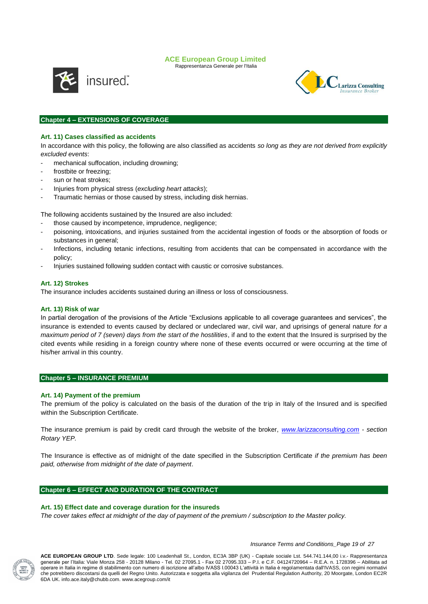Rappresentanza Generale per l'Italia



**Larizza Consulting** 

## **Chapter 4 – EXTENSIONS OF COVERAGE**

## **Art. 11) Cases classified as accidents**

In accordance with this policy, the following are also classified as accidents *so long as they are not derived from explicitly excluded events*:

- mechanical suffocation, including drowning;
- frostbite or freezing:
- sun or heat strokes;
- Injuries from physical stress (*excluding heart attacks*);
- Traumatic hernias or those caused by stress, including disk hernias.

The following accidents sustained by the Insured are also included:

- those caused by incompetence, imprudence, negligence;
- poisoning, intoxications, and injuries sustained from the accidental ingestion of foods or the absorption of foods or substances in general;
- Infections, including tetanic infections, resulting from accidents that can be compensated in accordance with the policy;
- Injuries sustained following sudden contact with caustic or corrosive substances.

#### **Art. 12) Strokes**

The insurance includes accidents sustained during an illness or loss of consciousness.

#### **Art. 13) Risk of war**

In partial derogation of the provisions of the Article "Exclusions applicable to all coverage guarantees and services", the insurance is extended to events caused by declared or undeclared war, civil war, and uprisings of general nature *for a maximum period of 7 (seven) days from the start of the hostilities*, if and to the extent that the Insured is surprised by the cited events while residing in a foreign country where none of these events occurred or were occurring at the time of his/her arrival in this country.

#### **Chapter 5 – INSURANCE PREMIUM**

#### **Art. 14) Payment of the premium**

The premium of the policy is calculated on the basis of the duration of the trip in Italy of the Insured and is specified within the Subscription Certificate.

The insurance premium is paid by credit card through the website of the broker, *[www.larizzaconsulting.com](http://www.larizzaconsulting.com/) - section Rotary YEP.*

The Insurance is effective as of midnight of the date specified in the Subscription Certificate *if the premium has been paid, otherwise from midnight of the date of payment*.

## **Chapter 6 – EFFECT AND DURATION OF THE CONTRACT**

#### **Art. 15) Effect date and coverage duration for the insureds**

*The cover takes effect at midnight of the day of payment of the premium / subscription to the Master policy.*



*Insurance Terms and Conditions\_Page 19 of 27*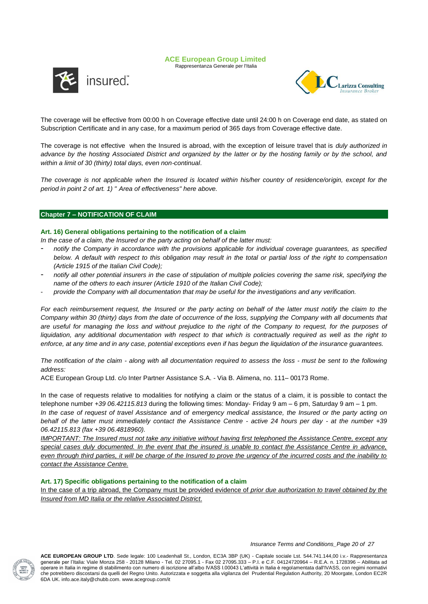Rappresentanza Generale per l'Italia





The coverage will be effective from 00:00 h on Coverage effective date until 24:00 h on Coverage end date, as stated on Subscription Certificate and in any case, for a maximum period of 365 days from Coverage effective date.

The coverage is not effective when the Insured is abroad, with the exception of leisure travel that is *duly authorized in advance by the hosting Associated District and organized by the latter or by the hosting family or by the school, and within a limit of 30 (thirty) total days, even non-continual*.

The coverage is not applicable when the Insured is located within his/her country of residence/origin, except for the *period in point 2 of art. 1) " Area of effectiveness" here above.*

## **Chapter 7 – NOTIFICATION OF CLAIM**

## **Art. 16) General obligations pertaining to the notification of a claim**

*In the case of a claim, the Insured or the party acting on behalf of the latter must:*

- *notify the Company in accordance with the provisions applicable for individual coverage guarantees, as specified below. A default with respect to this obligation may result in the total or partial loss of the right to compensation (Article 1915 of the Italian Civil Code);*
- *notify all other potential insurers in the case of stipulation of multiple policies covering the same risk, specifying the name of the others to each insurer (Article 1910 of the Italian Civil Code);*
- *provide the Company with all documentation that may be useful for the investigations and any verification.*

*For each reimbursement request, the Insured or the party acting on behalf of the latter must notify the claim to the Company within 30 (thirty) days from the date of occurrence of the loss, supplying the Company with all documents that are useful for managing the loss and without prejudice to the right of the Company to request, for the purposes of liquidation, any additional documentation with respect to that which is contractually required as well as the right to enforce, at any time and in any case, potential exceptions even if has begun the liquidation of the insurance guarantees.* 

*The notification of the claim - along with all documentation required to assess the loss - must be sent to the following address:* 

ACE European Group Ltd. c/o Inter Partner Assistance S.A. - Via B. Alimena, no. 111– 00173 Rome.

In the case of requests relative to modalities for notifying a claim or the status of a claim, it is possible to contact the telephone number *+39 06.42115.813* during the following times: Monday- Friday 9 am – 6 pm, Saturday 9 am – 1 pm. *In the case of request of travel Assistance and of emergency medical assistance, the Insured or the party acting on behalf of the latter must immediately contact the Assistance Centre - active 24 hours per day - at the number +39* 

*06.42115.813 (fax +39 06.4818960). IMPORTANT: The Insured must not take any initiative without having first telephoned the Assistance Centre, except any* 

*special cases duly documented. In the event that the insured is unable to contact the Assistance Centre in advance, even through third parties, it will be charge of the Insured to prove the urgency of the incurred costs and the inability to contact the Assistance Centre.*

## **Art. 17) Specific obligations pertaining to the notification of a claim**

In the case of a trip abroad, the Company must be provided evidence of *prior due authorization to travel obtained by the Insured from MD Italia or the relative Associated District*.



*Insurance Terms and Conditions\_Page 20 of 27*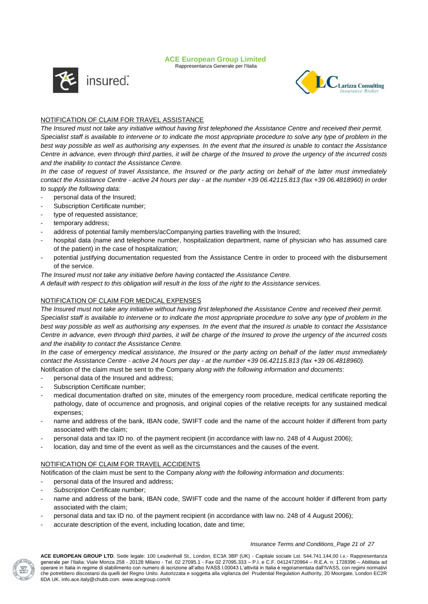Rappresentanza Generale per l'Italia





## NOTIFICATION OF CLAIM FOR TRAVEL ASSISTANCE

*The Insured must not take any initiative without having first telephoned the Assistance Centre and received their permit. Specialist staff is available to intervene or to indicate the most appropriate procedure to solve any type of problem in the best way possible as well as authorising any expenses. In the event that the insured is unable to contact the Assistance Centre in advance, even through third parties, it will be charge of the Insured to prove the urgency of the incurred costs and the inability to contact the Assistance Centre.*

*In the case of request of travel Assistance, the Insured or the party acting on behalf of the latter must immediately contact the Assistance Centre - active 24 hours per day - at the number +39 06.42115.813 (fax +39 06.4818960) in order to supply the following data:*

- personal data of the Insured;
- Subscription Certificate number;
- type of requested assistance;
- temporary address;
- address of potential family members/acCompanying parties travelling with the Insured;
- hospital data (name and telephone number, hospitalization department, name of physician who has assumed care of the patient) in the case of hospitalization;
- potential justifying documentation requested from the Assistance Centre in order to proceed with the disbursement of the service.

*The Insured must not take any initiative before having contacted the Assistance Centre.*

*A default with respect to this obligation will result in the loss of the right to the Assistance services.* 

## NOTIFICATION OF CLAIM FOR MEDICAL EXPENSES

*The Insured must not take any initiative without having first telephoned the Assistance Centre and received their permit. Specialist staff is available to intervene or to indicate the most appropriate procedure to solve any type of problem in the best way possible as well as authorising any expenses. In the event that the insured is unable to contact the Assistance Centre in advance, even through third parties, it will be charge of the Insured to prove the urgency of the incurred costs and the inability to contact the Assistance Centre.*

*In the case of emergency medical assistance, the Insured or the party acting on behalf of the latter must immediately contact the Assistance Centre - active 24 hours per day - at the number +39 06.42115.813 (fax +39 06.4818960).*

Notification of the claim must be sent to the Company *along with the following information and documents*:

- personal data of the Insured and address;
- Subscription Certificate number:
- medical documentation drafted on site, minutes of the emergency room procedure, medical certificate reporting the pathology, date of occurrence and prognosis, and original copies of the relative receipts for any sustained medical expenses;
- name and address of the bank, IBAN code, SWIFT code and the name of the account holder if different from party associated with the claim;
- personal data and tax ID no. of the payment recipient (in accordance with law no. 248 of 4 August 2006);
- location, day and time of the event as well as the circumstances and the causes of the event.

## NOTIFICATION OF CLAIM FOR TRAVEL ACCIDENTS

Notification of the claim must be sent to the Company *along with the following information and documents*:

- personal data of the Insured and address:
- *Subscription* Certificate number;
- name and address of the bank, IBAN code, SWIFT code and the name of the account holder if different from party associated with the claim;
- personal data and tax ID no. of the payment recipient (in accordance with law no. 248 of 4 August 2006);
- accurate description of the event, including location, date and time;

#### *Insurance Terms and Conditions\_Page 21 of 27*

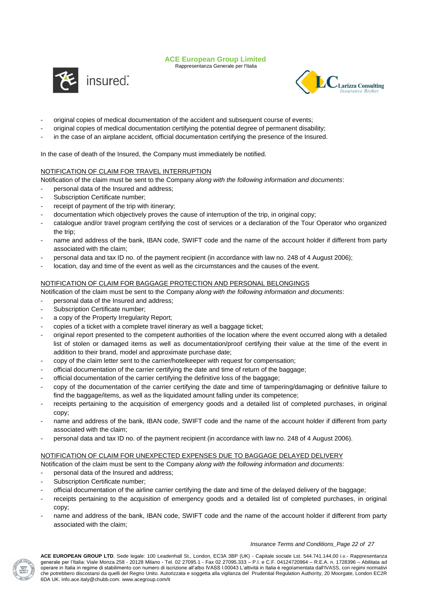Rappresentanza Generale per l'Italia





- original copies of medical documentation of the accident and subsequent course of events;
- original copies of medical documentation certifying the potential degree of permanent disability;
- in the case of an airplane accident, official documentation certifying the presence of the Insured.

In the case of death of the Insured, the Company must immediately be notified.

## NOTIFICATION OF CLAIM FOR TRAVEL INTERRUPTION

Notification of the claim must be sent to the Company *along with the following information and documents*:

- personal data of the Insured and address;
- Subscription Certificate number;
- receipt of payment of the trip with itinerary;
- documentation which objectively proves the cause of interruption of the trip, in original copy;
- catalogue and/or travel program certifying the cost of services or a declaration of the Tour Operator who organized the trip;
- name and address of the bank, IBAN code, SWIFT code and the name of the account holder if different from party associated with the claim;
- personal data and tax ID no. of the payment recipient (in accordance with law no. 248 of 4 August 2006);
- location, day and time of the event as well as the circumstances and the causes of the event.

## NOTIFICATION OF CLAIM FOR BAGGAGE PROTECTION AND PERSONAL BELONGINGS

Notification of the claim must be sent to the Company *along with the following information and documents*:

- personal data of the Insured and address;
- Subscription Certificate number;
- a copy of the Property Irregularity Report;
- copies of a ticket with a complete travel itinerary as well a baggage ticket;
- original report presented to the competent authorities of the location where the event occurred along with a detailed list of stolen or damaged items as well as documentation/proof certifying their value at the time of the event in addition to their brand, model and approximate purchase date;
- copy of the claim letter sent to the carrier/hotelkeeper with request for compensation;
- official documentation of the carrier certifying the date and time of return of the baggage;
- official documentation of the carrier certifying the definitive loss of the baggage;
- copy of the documentation of the carrier certifying the date and time of tampering/damaging or definitive failure to find the baggage/items, as well as the liquidated amount falling under its competence;
- receipts pertaining to the acquisition of emergency goods and a detailed list of completed purchases, in original copy;
- name and address of the bank, IBAN code, SWIFT code and the name of the account holder if different from party associated with the claim;
- personal data and tax ID no. of the payment recipient (in accordance with law no. 248 of 4 August 2006).

## NOTIFICATION OF CLAIM FOR UNEXPECTED EXPENSES DUE TO BAGGAGE DELAYED DELIVERY

Notification of the claim must be sent to the Company *along with the following information and documents*:

- personal data of the Insured and address;
- Subscription Certificate number:
- official documentation of the airline carrier certifying the date and time of the delayed delivery of the baggage;
- receipts pertaining to the acquisition of emergency goods and a detailed list of completed purchases, in original copy;
- name and address of the bank, IBAN code, SWIFT code and the name of the account holder if different from party associated with the claim;

#### *Insurance Terms and Conditions\_Page 22 of 27*

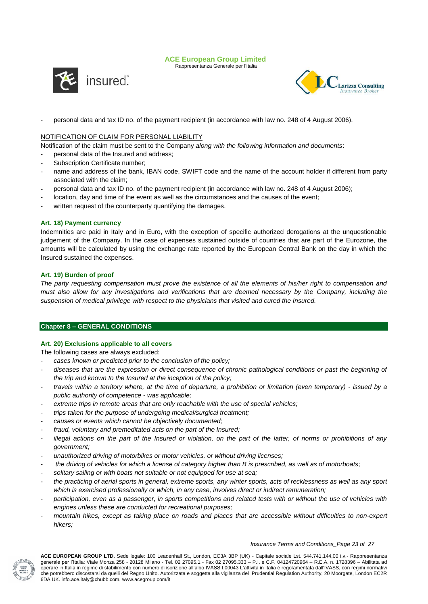Rappresentanza Generale per l'Italia





personal data and tax ID no. of the payment recipient (in accordance with law no. 248 of 4 August 2006).

## NOTIFICATION OF CLAIM FOR PERSONAL LIABILITY

Notification of the claim must be sent to the Company *along with the following information and documents*:

- personal data of the Insured and address;
- Subscription Certificate number;
- name and address of the bank, IBAN code, SWIFT code and the name of the account holder if different from party associated with the claim;
- personal data and tax ID no. of the payment recipient (in accordance with law no. 248 of 4 August 2006);
- location, day and time of the event as well as the circumstances and the causes of the event;
- written request of the counterparty quantifying the damages.

## **Art. 18) Payment currency**

Indemnities are paid in Italy and in Euro, with the exception of specific authorized derogations at the unquestionable judgement of the Company. In the case of expenses sustained outside of countries that are part of the Eurozone, the amounts will be calculated by using the exchange rate reported by the European Central Bank on the day in which the Insured sustained the expenses.

## **Art. 19) Burden of proof**

*The party requesting compensation must prove the existence of all the elements of his/her right to compensation and must also allow for any investigations and verifications that are deemed necessary by the Company, including the suspension of medical privilege with respect to the physicians that visited and cured the Insured.* 

## **Chapter 8 – GENERAL CONDITIONS**

## **Art. 20) Exclusions applicable to all covers**

The following cases are always excluded:

- *cases known or predicted prior to the conclusion of the policy;*
- *diseases that are the expression or direct consequence of chronic pathological conditions or past the beginning of the trip and known to the Insured at the inception of the policy;*
- *travels within a territory where, at the time of departure, a prohibition or limitation (even temporary) - issued by a public authority of competence - was applicable;*
- extreme trips in remote areas that are only reachable with the use of special vehicles;
- *trips taken for the purpose of undergoing medical/surgical treatment;*
- *causes or events which cannot be objectively documented;*
- *fraud, voluntary and premeditated acts on the part of the Insured;*
- *illegal actions on the part of the Insured or violation, on the part of the latter, of norms or prohibitions of any government;*
- *unauthorized driving of motorbikes or motor vehicles, or without driving licenses;*
- *the driving of vehicles for which a license of category higher than B is prescribed, as well as of motorboats;*
- *solitary sailing or with boats not suitable or not equipped for use at sea;*
- *the practicing of aerial sports in general, extreme sports, any winter sports, acts of recklessness as well as any sport which is exercised professionally or which, in any case, involves direct or indirect remuneration;*
- *participation, even as a passenger, in sports competitions and related tests with or without the use of vehicles with engines unless these are conducted for recreational purposes;*
- *mountain hikes, except as taking place on roads and places that are accessible without difficulties to non-expert hikers;*

#### *Insurance Terms and Conditions\_Page 23 of 27*

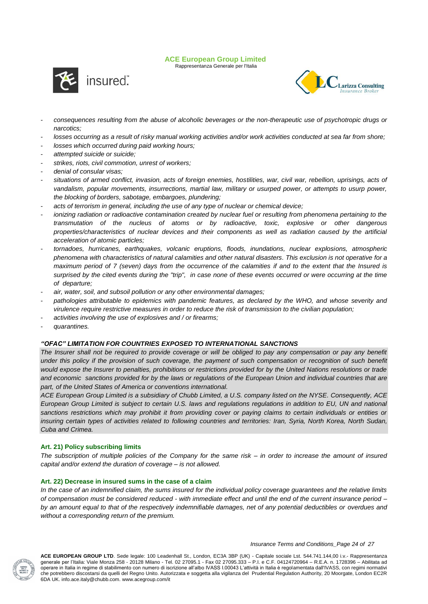Rappresentanza Generale per l'Italia





- *consequences resulting from the abuse of alcoholic beverages or the non-therapeutic use of psychotropic drugs or narcotics;*
- *losses occurring as a result of risky manual working activities and/or work activities conducted at sea far from shore;*
- *losses which occurred during paid working hours;*
- *attempted suicide or suicide;*
- *strikes, riots, civil commotion, unrest of workers;*
- *denial of consular visas;*
- *situations of armed conflict, invasion, acts of foreign enemies, hostilities, war, civil war, rebellion, uprisings, acts of vandalism, popular movements, insurrections, martial law, military or usurped power, or attempts to usurp power, the blocking of borders, sabotage, embargoes, plundering;*
- *acts of terrorism in general, including the use of any type of nuclear or chemical device;*
- *ionizing radiation or radioactive contamination created by nuclear fuel or resulting from phenomena pertaining to the transmutation of the nucleus of atoms or by radioactive, toxic, explosive or other dangerous properties/characteristics of nuclear devices and their components as well as radiation caused by the artificial acceleration of atomic particles;*
- *tornadoes, hurricanes, earthquakes, volcanic eruptions, floods, inundations, nuclear explosions, atmospheric phenomena with characteristics of natural calamities and other natural disasters. This exclusion is not operative for a maximum period of 7 (seven) days from the occurrence of the calamities if and to the extent that the Insured is surprised by the cited events during the "trip", in case none of these events occurred or were occurring at the time of departure;*
- *air, water, soil, and subsoil pollution or any other environmental damages;*
- pathologies attributable to epidemics with pandemic features, as declared by the WHO, and whose severity and *virulence require restrictive measures in order to reduce the risk of transmission to the civilian population;*
- *activities involving the use of explosives and / or firearms;*
- *quarantines.*

## *"OFAC" LIMITATION FOR COUNTRIES EXPOSED TO INTERNATIONAL SANCTIONS*

The Insurer shall not be required to provide coverage or will be obliged to pay any compensation or pay any benefit under this policy if the provision of such coverage, the payment of such compensation or recognition of such benefit *would expose the Insurer to penalties, prohibitions or restrictions provided for by the United Nations resolutions or trade and economic sanctions provided for by the laws or regulations of the European Union and individual countries that are part, of the United States of America or conventions international.*

*ACE European Group Limited is a subsidiary of Chubb Limited, a U.S. company listed on the NYSE. Consequently, ACE European Group Limited is subject to certain U.S. laws and regulations regulations in addition to EU, UN and national*  sanctions restrictions which may prohibit it from providing cover or paying claims to certain individuals or entities or *insuring certain types of activities related to following countries and territories: Iran, Syria, North Korea, North Sudan, Cuba and Crimea.*

## **Art. 21) Policy subscribing limits**

*The subscription of multiple policies of the Company for the same risk – in order to increase the amount of insured capital and/or extend the duration of coverage – is not allowed.*

## **Art. 22) Decrease in insured sums in the case of a claim**

*In the case of an indemnified claim, the sums insured for the individual policy coverage guarantees and the relative limits of compensation must be considered reduced - with immediate effect and until the end of the current insurance period – by an amount equal to that of the respectively indemnifiable damages, net of any potential deductibles or overdues and without a corresponding return of the premium.* 



*Insurance Terms and Conditions\_Page 24 of 27*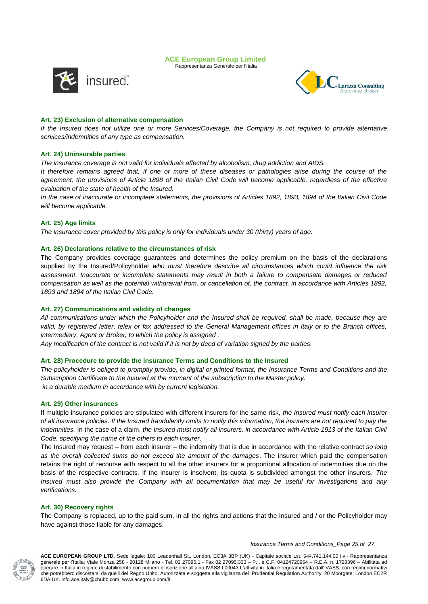Rappresentanza Generale per l'Italia



**Larizza Consulting** 

## **Art. 23) Exclusion of alternative compensation**

*If the Insured does not utilize one or more Services/Coverage, the Company is not required to provide alternative services/indemnities of any type as compensation.*

## **Art. 24) Uninsurable parties**

*The insurance coverage is not valid for individuals affected by alcoholism, drug addiction and AIDS.*

*It therefore remains agreed that, if one or more of these diseases or pathologies arise during the course of the agreement, the provisions of Article 1898 of the Italian Civil Code will become applicable, regardless of the effective evaluation of the state of health of the Insured.* 

*In the case of inaccurate or incomplete statements, the provisions of Articles 1892, 1893, 1894 of the Italian Civil Code will become applicable.*

## **Art. 25) Age limits**

*The insurance cover provided by this policy is only for individuals under 30 (thirty) years of age.*

## **Art. 26) Declarations relative to the circumstances of risk**

The Company provides coverage guarantees and determines the policy premium on the basis of the declarations supplied by the Insured/Policyholder *who must therefore describe all circumstances which could influence the risk assessment*. *Inaccurate or incomplete statements may result in both a failure to compensate damages or reduced compensation as well as the potential withdrawal from, or cancellation of, the contract, in accordance with Articles 1892, 1893 and 1894 of the Italian Civil Code.*

## **Art. 27) Communications and validity of changes**

*All communications under which the Policyholder and the Insured shall be required, shall be made, because they are*  valid, by registered letter, telex or fax addressed to the General Management offices in Italy or to the Branch offices, *intermediary, Agent or Broker, to which the policy is assigned .*

*Any modification of the contract is not valid if it is not by deed of variation signed by the parties.*

#### **Art. 28) Procedure to provide the insurance Terms and Conditions to the Insured**

*The policyholder is obliged to promptly provide, in digital or printed format, the Insurance Terms and Conditions and the Subscription Certificate to the Insured at the moment of the subscription to the Master policy. in a durable medium in accordance with by current legislation.*

#### **Art. 29) Other insurances**

If multiple insurance policies are stipulated with different insurers for the same risk, *the Insured must notify each insurer of all insurance policies*. *If the Insured fraudulently omits to notify this information, the insurers are not required to pay the indemnities.* In the case of a claim, *the Insured must notify all insurers, in accordance with Article 1913 of the Italian Civil Code, specifying the name of the others to each insurer*.

The Insured may request – from each insurer – the indemnity that is due in accordance with the relative contract *so long as the overall collected sums do not exceed the amount of the damages*. The insurer which paid the compensation retains the right of recourse with respect to all the other insurers for a proportional allocation of indemnities due on the basis of the respective contracts. If the insurer is insolvent, its quota is subdivided amongst the other insurers. *The Insured must also provide the Company with all documentation that may be useful for investigations and any verifications.*

## **Art. 30) Recovery rights**

The Company is replaced, up to the paid sum, in all the rights and actions that the Insured and / or the Policyholder may have against those liable for any damages.



*Insurance Terms and Conditions\_Page 25 of 27*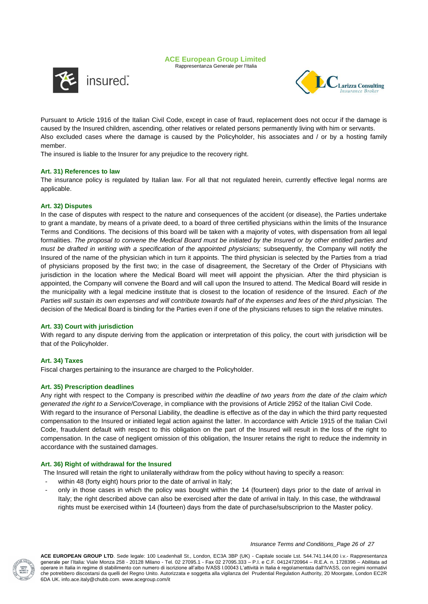





Pursuant to Article 1916 of the Italian Civil Code, except in case of fraud, replacement does not occur if the damage is caused by the Insured children, ascending, other relatives or related persons permanently living with him or servants. Also excluded cases where the damage is caused by the Policyholder, his associates and / or by a hosting family member.

The insured is liable to the Insurer for any prejudice to the recovery right.

## **Art. 31) References to law**

The insurance policy is regulated by Italian law. For all that not regulated herein, currently effective legal norms are applicable.

#### **Art. 32) Disputes**

In the case of disputes with respect to the nature and consequences of the accident (or disease), the Parties undertake to grant a mandate, by means of a private deed, to a board of three certified physicians within the limits of the Insurance Terms and Conditions. The decisions of this board will be taken with a majority of votes, with dispensation from all legal formalities. *The proposal to convene the Medical Board must be initiated by the Insured or by other entitled parties and must be drafted in writing with a specification of the appointed physicians;* subsequently, the Company will notify the Insured of the name of the physician which in turn it appoints. The third physician is selected by the Parties from a triad of physicians proposed by the first two; in the case of disagreement, the Secretary of the Order of Physicians with jurisdiction in the location where the Medical Board will meet will appoint the physician. After the third physician is appointed, the Company will convene the Board and will call upon the Insured to attend. The Medical Board will reside in the municipality with a legal medicine institute that is closest to the location of residence of the Insured. *Each of the*  Parties will sustain its own expenses and will contribute towards half of the expenses and fees of the third physician. The decision of the Medical Board is binding for the Parties even if one of the physicians refuses to sign the relative minutes.

## **Art. 33) Court with jurisdiction**

With regard to any dispute deriving from the application or interpretation of this policy, the court with jurisdiction will be that of the Policyholder.

## **Art. 34) Taxes**

Fiscal charges pertaining to the insurance are charged to the Policyholder.

#### **Art. 35) Prescription deadlines**

Any right with respect to the Company is prescribed *within the deadline of two years from the date of the claim which generated the right to a Service/Coverage*, in compliance with the provisions of Article 2952 of the Italian Civil Code. With regard to the insurance of Personal Liability, the deadline is effective as of the day in which the third party requested compensation to the Insured or initiated legal action against the latter. In accordance with Article 1915 of the Italian Civil Code, fraudulent default with respect to this obligation on the part of the Insured will result in the loss of the right to compensation. In the case of negligent omission of this obligation, the Insurer retains the right to reduce the indemnity in accordance with the sustained damages.

#### **Art. 36) Right of withdrawal for the Insured**

The Insured will retain the right to unilaterally withdraw from the policy without having to specify a reason:

- within 48 (forty eight) hours prior to the date of arrival in Italy;
- only in those cases in which the policy was bought within the 14 (fourteen) days prior to the date of arrival in Italy; the right described above can also be exercised after the date of arrival in Italy. In this case, the withdrawal rights must be exercised within 14 (fourteen) days from the date of purchase/subscriprion to the Master policy.



#### *Insurance Terms and Conditions\_Page 26 of 27*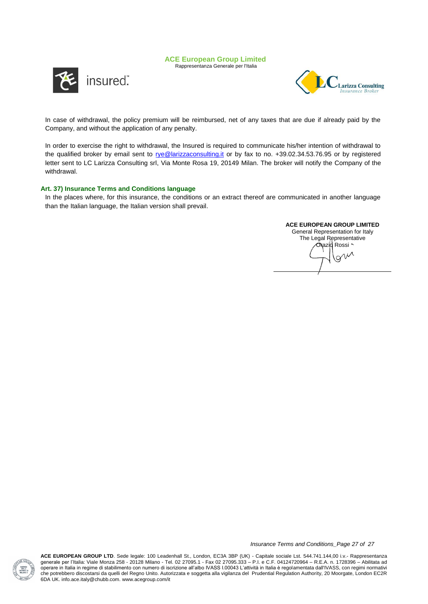Rappresentanza Generale per l'Italia





In case of withdrawal, the policy premium will be reimbursed, net of any taxes that are due if already paid by the Company, and without the application of any penalty.

In order to exercise the right to withdrawal, the Insured is required to communicate his/her intention of withdrawal to the qualified broker by email sent to [rye@larizzaconsulting.it](mailto:rye@larizzaconsulting.it) or by fax to no. +39.02.34.53.76.95 or by registered letter sent to LC Larizza Consulting srl, Via Monte Rosa 19, 20149 Milan. The broker will notify the Company of the withdrawal.

## **Art. 37) Insurance Terms and Conditions language**

In the places where, for this insurance, the conditions or an extract thereof are communicated in another language than the Italian language, the Italian version shall prevail.

## **ACE EUROPEAN GROUP LIMITED**

General Representation for Italy The Legal Representative Orazio Rossi<br>
IV O<sup>N</sup>



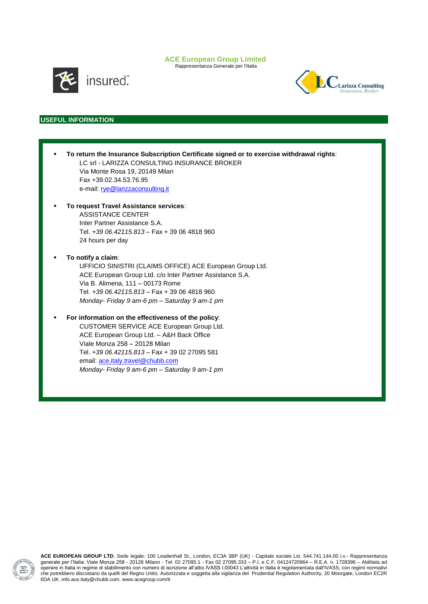Rappresentanza Generale per l'Italia



insured".



## **USEFUL INFORMATION**

| To return the Insurance Subscription Certificate signed or to exercise withdrawal rights:<br>LC srl - LARIZZA CONSULTING INSURANCE BROKER<br>Via Monte Rosa 19, 20149 Milan<br>Fax +39.02.34.53.76.95<br>e-mail: rye@larizzaconsulting.it                                                                            |  |
|----------------------------------------------------------------------------------------------------------------------------------------------------------------------------------------------------------------------------------------------------------------------------------------------------------------------|--|
| To request Travel Assistance services:<br>ASSISTANCE CENTER<br>Inter Partner Assistance S.A.<br>Tel. +39 06.42115.813 - Fax + 39 06 4818 960<br>24 hours per day                                                                                                                                                     |  |
| To notify a claim:<br>UFFICIO SINISTRI (CLAIMS OFFICE) ACE European Group Ltd.<br>ACE European Group Ltd. c/o Inter Partner Assistance S.A.<br>Via B. Alimena, 111 - 00173 Rome<br>Tel. +39 06.42115.813 - Fax + 39 06 4818 960<br>Monday- Friday 9 am-6 pm - Saturday 9 am-1 pm                                     |  |
| For information on the effectiveness of the policy:<br>CUSTOMER SERVICE ACE European Group Ltd.<br>ACE European Group Ltd. - A&H Back Office<br>Viale Monza 258 - 20128 Milan<br>Tel. +39 06.42115.813 - Fax + 39 02 27095 581<br>email: ace.italy.travel@chubb.com<br>Monday- Friday 9 am-6 pm – Saturday 9 am-1 pm |  |